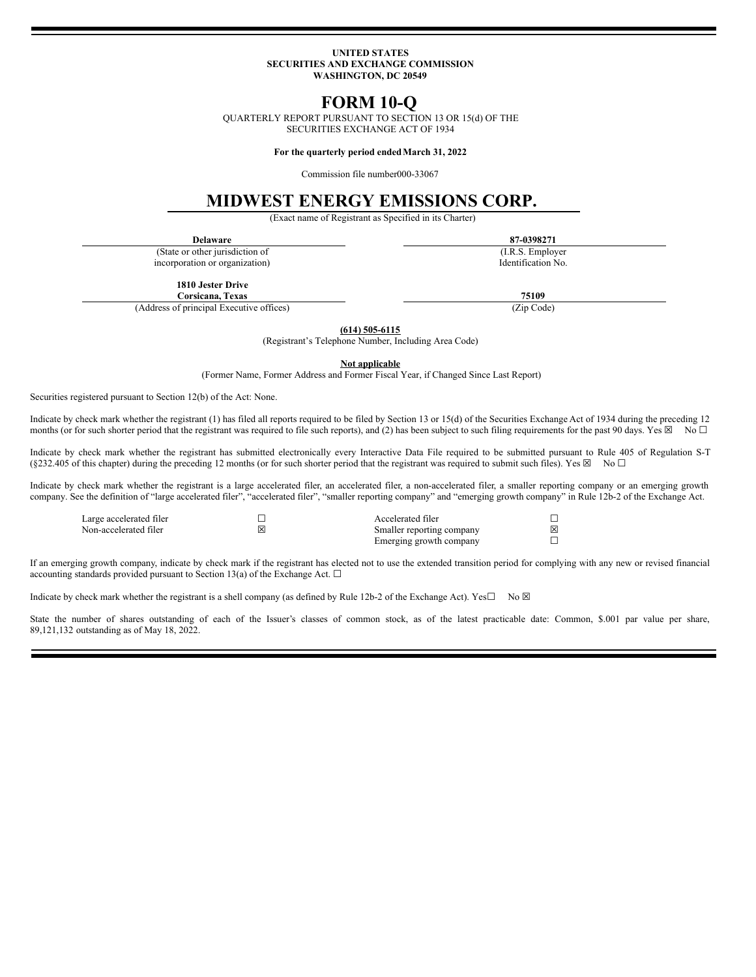#### **UNITED STATES SECURITIES AND EXCHANGE COMMISSION WASHINGTON, DC 20549**

# **FORM 10-Q**

QUARTERLY REPORT PURSUANT TO SECTION 13 OR 15(d) OF THE

SECURITIES EXCHANGE ACT OF 1934

**For the quarterly period endedMarch 31, 2022**

Commission file number000-33067

# **MIDWEST ENERGY EMISSIONS CORP.**

(Exact name of Registrant as Specified in its Charter)

(State or other jurisdiction of incorporation or organization)

**Delaware 87-0398271** (I.R.S. Employer Identification No.

**1810 Jester Drive Corsicana, Texas 75109**

(Address of principal Executive offices) (Zip Code)

**(614) 505-6115**

(Registrant's Telephone Number, Including Area Code)

**Not applicable**

(Former Name, Former Address and Former Fiscal Year, if Changed Since Last Report)

Securities registered pursuant to Section 12(b) of the Act: None.

Indicate by check mark whether the registrant (1) has filed all reports required to be filed by Section 13 or 15(d) of the Securities Exchange Act of 1934 during the preceding 12 months (or for such shorter period that the registrant was required to file such reports), and (2) has been subject to such filing requirements for the past 90 days. Yes  $\boxtimes \bullet \text{ No} \square$ 

Indicate by check mark whether the registrant has submitted electronically every Interactive Data File required to be submitted pursuant to Rule 405 of Regulation S-T (§232.405 of this chapter) during the preceding 12 months (or for such shorter period that the registrant was required to submit such files). Yes  $\boxtimes$  No  $\Box$ 

Indicate by check mark whether the registrant is a large accelerated filer, an accelerated filer, a non-accelerated filer, a smaller reporting company or an emerging growth company. See the definition of "large accelerated filer", "accelerated filer", "smaller reporting company" and "emerging growth company" in Rule 12b-2 of the Exchange Act.

| Large accelerated filer |   | Accelerated filer         |  |
|-------------------------|---|---------------------------|--|
| Non-accelerated filer   | × | Smaller reporting company |  |
|                         |   | Emerging growth company   |  |

If an emerging growth company, indicate by check mark if the registrant has elected not to use the extended transition period for complying with any new or revised financial accounting standards provided pursuant to Section 13(a) of the Exchange Act.  $\Box$ 

Indicate by check mark whether the registrant is a shell company (as defined by Rule 12b-2 of the Exchange Act). Yes $\square$  No  $\boxtimes$ 

State the number of shares outstanding of each of the Issuer's classes of common stock, as of the latest practicable date: Common, \$.001 par value per share, 89,121,132 outstanding as of May 18, 2022.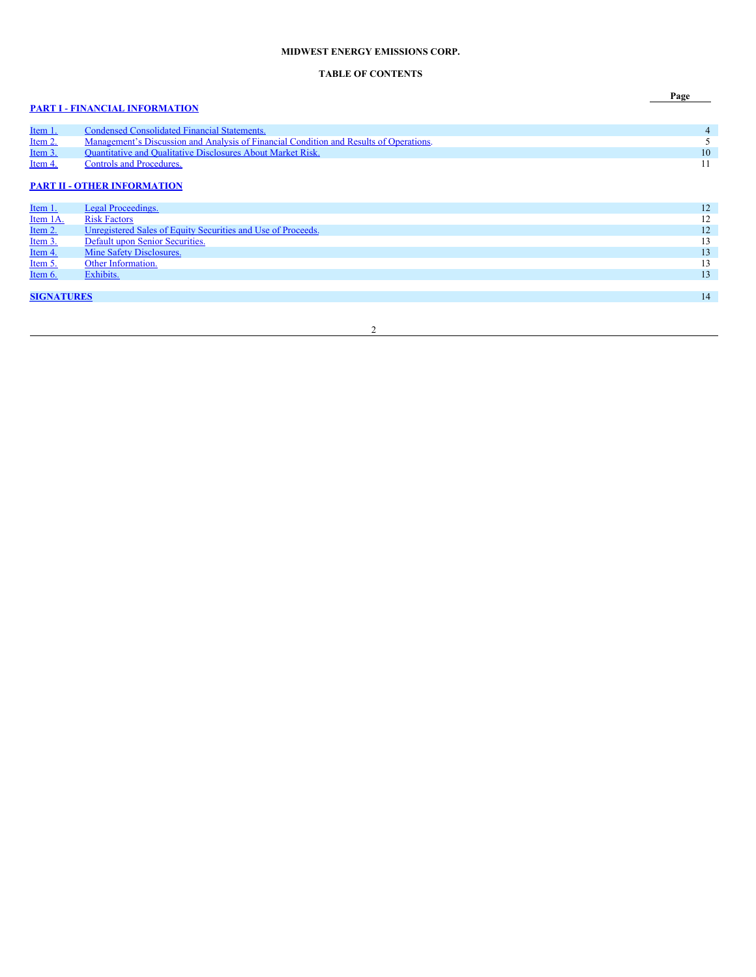# **MIDWEST ENERGY EMISSIONS CORP.**

# <span id="page-1-0"></span>**TABLE OF CONTENTS**

### **PART I ‑ FINANCIAL [INFORMATION](#page-2-0)**

**Page**

| Item 1.           | <b>Condensed Consolidated Financial Statements.</b>                                    | 4  |
|-------------------|----------------------------------------------------------------------------------------|----|
| Item 2.           | Management's Discussion and Analysis of Financial Condition and Results of Operations. |    |
| Item 3.           | <b>Quantitative and Qualitative Disclosures About Market Risk.</b>                     | 10 |
| Item 4.           | <b>Controls and Procedures.</b>                                                        | 11 |
|                   | <b>PART II - OTHER INFORMATION</b>                                                     |    |
| Item $1.$         | Legal Proceedings.                                                                     | 12 |
| Item 1A.          | <b>Risk Factors</b>                                                                    | 12 |
| Item 2.           | Unregistered Sales of Equity Securities and Use of Proceeds.                           | 12 |
| Item 3.           | Default upon Senior Securities.                                                        | 13 |
| Item 4.           | Mine Safety Disclosures.                                                               | 13 |
| Item 5.           | Other Information.                                                                     | 13 |
| Item 6.           | Exhibits.                                                                              | 13 |
|                   |                                                                                        |    |
| <b>SIGNATURES</b> |                                                                                        | 14 |

2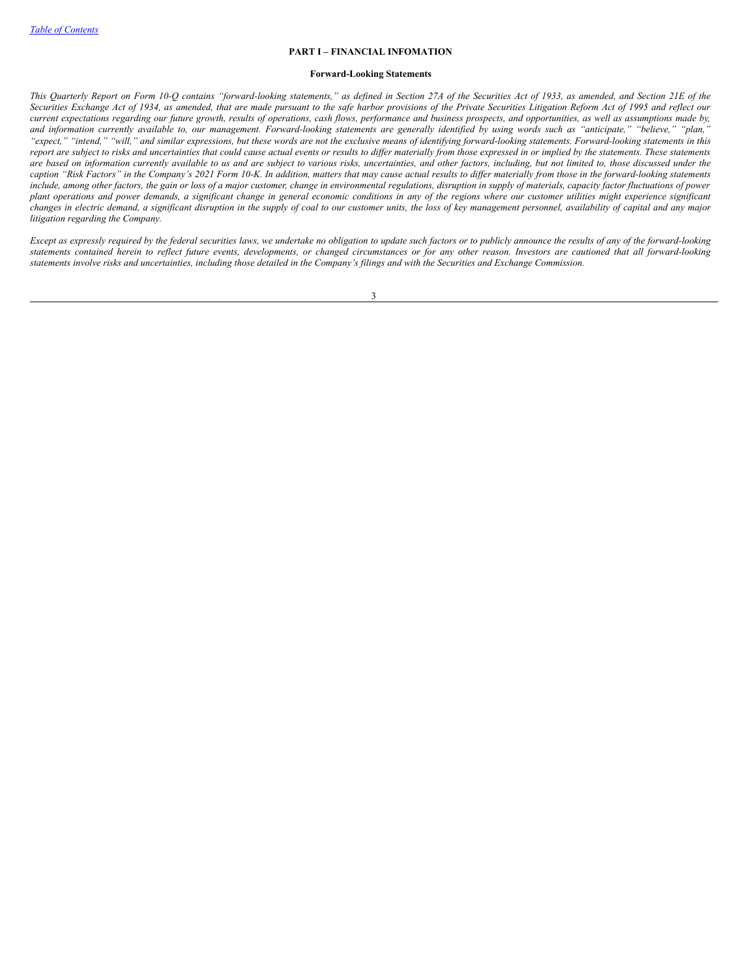#### <span id="page-2-0"></span>**PART I – FINANCIAL INFOMATION**

### **Forward-Looking Statements**

This Quarterly Report on Form 10-Q contains "forward-looking statements," as defined in Section 27A of the Securities Act of 1933, as amended, and Section 21E of the Securities Exchange Act of 1934, as amended, that are made pursuant to the safe harbor provisions of the Private Securities Litigation Reform Act of 1995 and reflect our current expectations regarding our future growth, results of operations, cash flows, performance and business prospects, and opportunities, as well as assumptions made by, and information currently available to, our management. Forward-looking statements are generally identified by using words such as "anticipate," "believe," "plan, "expect," "intend," "will," and similar expressions, but these words are not the exclusive means of identifying forward-looking statements. Forward-looking statements in this report are subject to risks and uncertainties that could cause actual events or results to differ materially from those expressed in or implied by the statements. These statements are based on information currently available to us and are subject to various risks, uncertainties, and other factors, including, but not limited to, those discussed under the caption "Risk Factors" in the Company's 2021 Form 10-K. In addition, matters that may cause actual results to differ materially from those in the forward-looking statements include, among other factors, the gain or loss of a major customer, change in environmental regulations, disruption in supply of materials, capacity factor fluctuations of power plant operations and power demands, a significant change in general economic conditions in any of the regions where our customer utilities might experience significant changes in electric demand, a significant disruption in the supply of coal to our customer units, the loss of key management personnel, availability of capital and any major *litigation regarding the Company.*

Except as expressly required by the federal securities laws, we undertake no obligation to update such factors or to publicly announce the results of any of the forward-looking statements contained herein to reflect future events, developments, or changed circumstances or for any other reason. Investors are cautioned that all forward-looking statements involve risks and uncertainties, including those detailed in the Company's filings and with the Securities and Exchange Commission.

3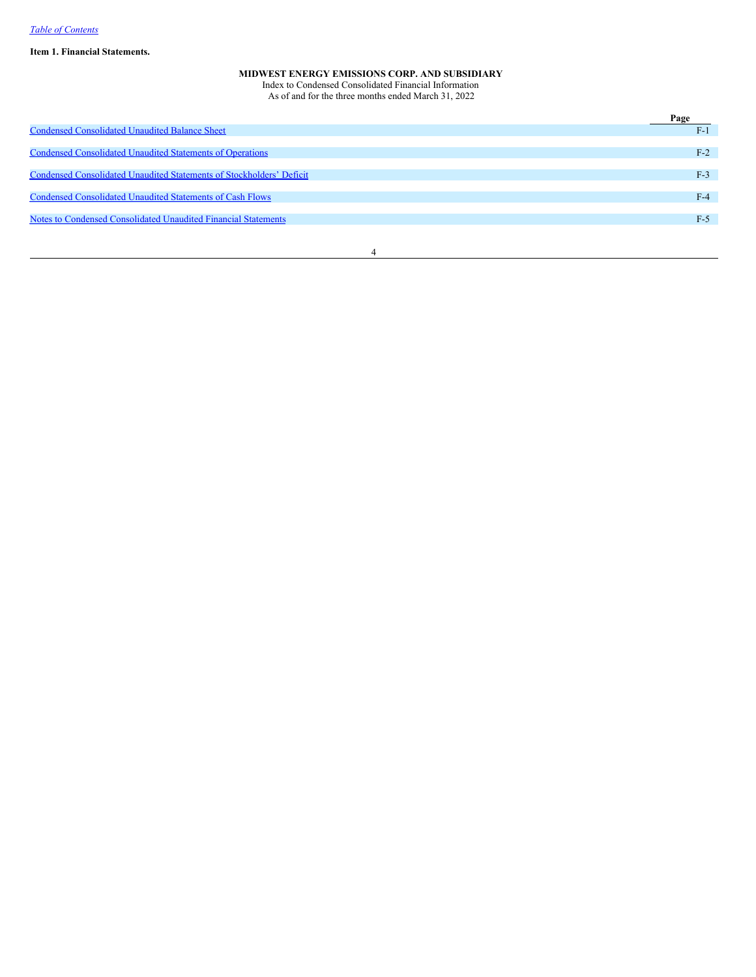<span id="page-3-0"></span>**Item 1. Financial Statements.**

# **MIDWEST ENERGY EMISSIONS CORP. AND SUBSIDIARY**

<span id="page-3-1"></span>Index to Condensed Consolidated Financial Information As of and for the three months ended March 31, 2022

| <b>Condensed Consolidated Unaudited Balance Sheet</b>                |       |
|----------------------------------------------------------------------|-------|
|                                                                      |       |
| <b>Condensed Consolidated Unaudited Statements of Operations</b>     | $F-2$ |
|                                                                      |       |
| Condensed Consolidated Unaudited Statements of Stockholders' Deficit | $F-3$ |
|                                                                      |       |
| <b>Condensed Consolidated Unaudited Statements of Cash Flows</b>     | $F-4$ |
|                                                                      |       |
| Notes to Condensed Consolidated Unaudited Financial Statements       | $F-5$ |
|                                                                      |       |

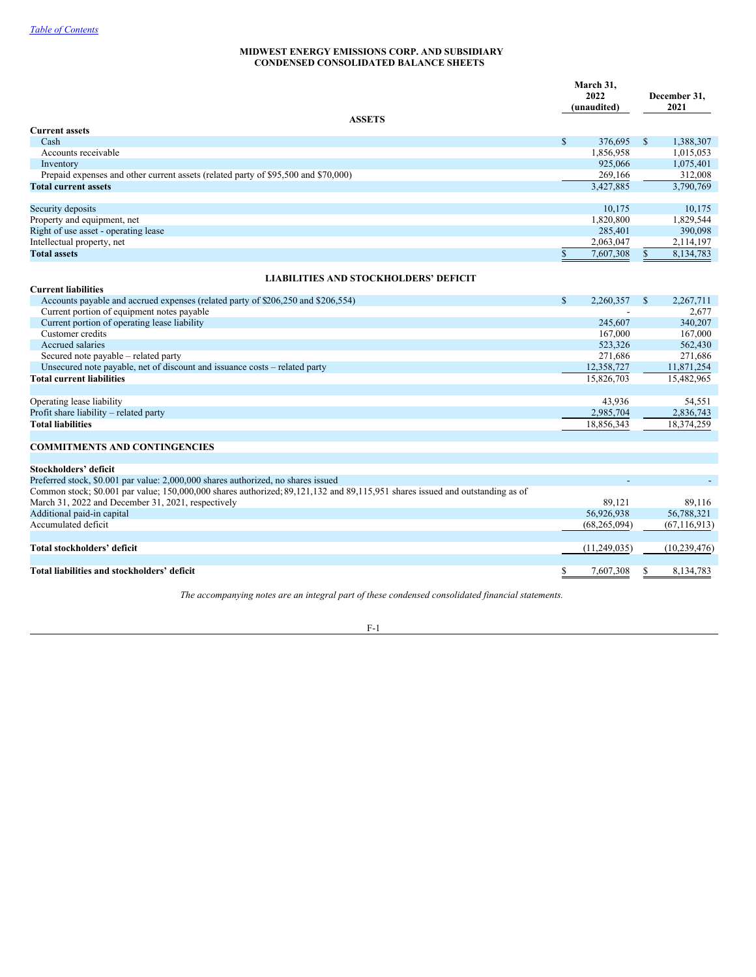# <span id="page-4-0"></span>**MIDWEST ENERGY EMISSIONS CORP. AND SUBSIDIARY CONDENSED CONSOLIDATED BALANCE SHEETS**

|                                                                                                                               | March 31,<br>2022<br>(unaudited) |                |              | December 31,<br>2021 |
|-------------------------------------------------------------------------------------------------------------------------------|----------------------------------|----------------|--------------|----------------------|
| <b>ASSETS</b>                                                                                                                 |                                  |                |              |                      |
| <b>Current assets</b>                                                                                                         |                                  |                |              |                      |
| Cash                                                                                                                          | $\mathbb{S}$                     | 376,695        | $\mathbb{S}$ | 1,388,307            |
| Accounts receivable                                                                                                           |                                  | 1,856,958      |              | 1,015,053            |
| Inventory                                                                                                                     |                                  | 925,066        |              | 1,075,401            |
| Prepaid expenses and other current assets (related party of \$95,500 and \$70,000)                                            |                                  | 269,166        |              | 312,008              |
| <b>Total current assets</b>                                                                                                   |                                  | 3,427,885      |              | 3,790,769            |
| Security deposits                                                                                                             |                                  | 10,175         |              | 10,175               |
| Property and equipment, net                                                                                                   |                                  | 1,820,800      |              | 1,829,544            |
| Right of use asset - operating lease                                                                                          |                                  | 285,401        |              | 390,098              |
| Intellectual property, net                                                                                                    |                                  | 2,063,047      |              | 2,114,197            |
| <b>Total assets</b>                                                                                                           | $\mathbb{S}$                     | 7,607,308      | \$           | 8,134,783            |
| <b>LIABILITIES AND STOCKHOLDERS' DEFICIT</b>                                                                                  |                                  |                |              |                      |
| <b>Current liabilities</b>                                                                                                    |                                  |                |              |                      |
| Accounts payable and accrued expenses (related party of \$206,250 and \$206,554)                                              | $\mathbb{S}$                     | 2.260.357      | $\mathbb{S}$ | 2.267.711            |
| Current portion of equipment notes payable                                                                                    |                                  |                |              | 2.677                |
| Current portion of operating lease liability                                                                                  |                                  | 245,607        |              | 340.207              |
| Customer credits                                                                                                              |                                  | 167,000        |              | 167,000              |
| Accrued salaries                                                                                                              |                                  | 523.326        |              | 562,430              |
| Secured note payable – related party                                                                                          |                                  | 271,686        |              | 271.686              |
| Unsecured note payable, net of discount and issuance costs – related party                                                    |                                  | 12,358,727     |              | 11,871,254           |
| <b>Total current liabilities</b>                                                                                              |                                  | 15,826,703     |              | 15,482,965           |
|                                                                                                                               |                                  |                |              |                      |
| Operating lease liability                                                                                                     |                                  | 43.936         |              | 54.551               |
| Profit share liability – related party                                                                                        |                                  | 2,985,704      |              | 2,836,743            |
| <b>Total liabilities</b>                                                                                                      |                                  | 18,856,343     |              | 18,374,259           |
|                                                                                                                               |                                  |                |              |                      |
| <b>COMMITMENTS AND CONTINGENCIES</b>                                                                                          |                                  |                |              |                      |
| Stockholders' deficit                                                                                                         |                                  |                |              |                      |
| Preferred stock, \$0.001 par value: 2,000,000 shares authorized, no shares issued                                             |                                  |                |              |                      |
| Common stock; \$0.001 par value; 150,000,000 shares authorized; 89,121,132 and 89,115,951 shares issued and outstanding as of |                                  |                |              |                      |
| March 31, 2022 and December 31, 2021, respectively                                                                            |                                  | 89,121         |              | 89.116               |
| Additional paid-in capital                                                                                                    |                                  | 56,926,938     |              | 56,788,321           |
| Accumulated deficit                                                                                                           |                                  | (68, 265, 094) |              | (67, 116, 913)       |
| Total stockholders' deficit                                                                                                   |                                  | (11, 249, 035) |              | (10, 239, 476)       |
|                                                                                                                               |                                  |                |              |                      |
| Total liabilities and stockholders' deficit                                                                                   | S                                | 7,607,308      |              | 8,134,783            |
|                                                                                                                               |                                  |                |              |                      |

*The accompanying notes are an integral part of these condensed consolidated financial statements.*

F-1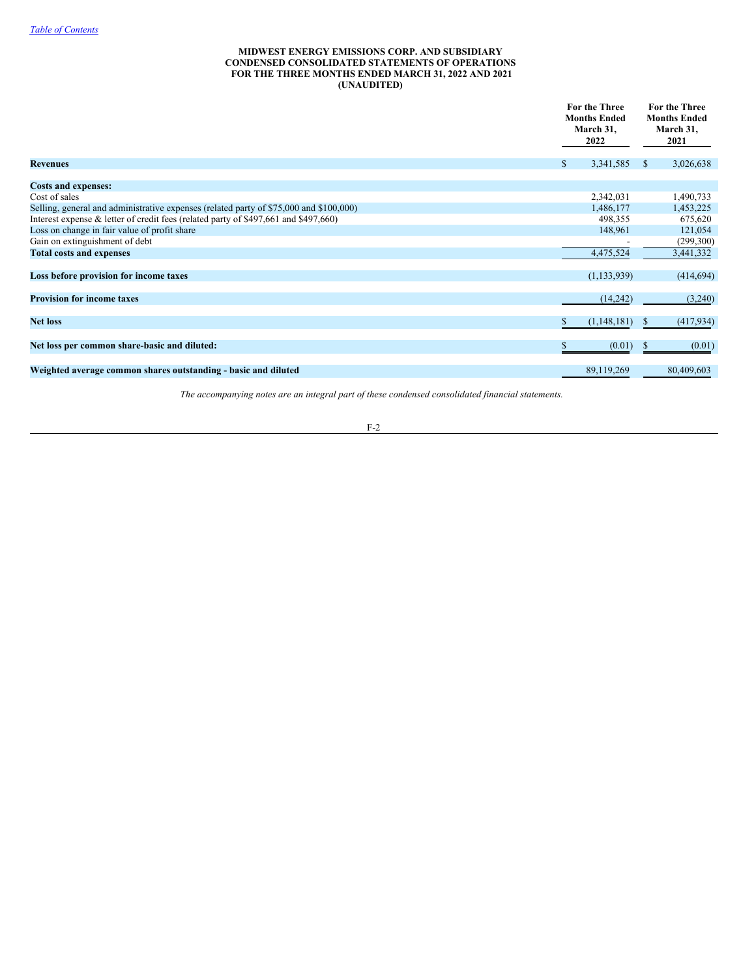### <span id="page-5-0"></span>**MIDWEST ENERGY EMISSIONS CORP. AND SUBSIDIARY CONDENSED CONSOLIDATED STATEMENTS OF OPERATIONS FOR THE THREE MONTHS ENDED MARCH 31, 2022 AND 2021 (UNAUDITED)**

|                                                                                        | For the Three<br><b>Months Ended</b><br>March 31,<br>2022 | For the Three<br><b>Months Ended</b><br>March 31,<br>2021 |  |  |
|----------------------------------------------------------------------------------------|-----------------------------------------------------------|-----------------------------------------------------------|--|--|
| <b>Revenues</b>                                                                        | 3,341,585<br>\$                                           | 3,026,638<br><sup>S</sup>                                 |  |  |
| <b>Costs and expenses:</b>                                                             |                                                           |                                                           |  |  |
| Cost of sales                                                                          | 2,342,031                                                 | 1,490,733                                                 |  |  |
| Selling, general and administrative expenses (related party of \$75,000 and \$100,000) | 1,486,177                                                 | 1,453,225                                                 |  |  |
| Interest expense $&$ letter of credit fees (related party of \$497,661 and \$497,660)  | 498,355                                                   | 675,620                                                   |  |  |
| Loss on change in fair value of profit share                                           | 148,961                                                   | 121,054                                                   |  |  |
| Gain on extinguishment of debt                                                         |                                                           | (299,300)                                                 |  |  |
| <b>Total costs and expenses</b>                                                        | 4,475,524                                                 | 3,441,332                                                 |  |  |
| Loss before provision for income taxes                                                 | (1, 133, 939)                                             | (414, 694)                                                |  |  |
| <b>Provision for income taxes</b>                                                      | (14,242)                                                  | (3,240)                                                   |  |  |
| <b>Net loss</b>                                                                        | (1,148,181)<br>S                                          | (417, 934)<br>Ъ.                                          |  |  |
| Net loss per common share-basic and diluted:                                           | (0.01)<br>S.                                              | (0.01)<br><sup>S</sup>                                    |  |  |
| Weighted average common shares outstanding - basic and diluted                         | 89,119,269                                                | 80,409,603                                                |  |  |

*The accompanying notes are an integral part of these condensed consolidated financial statements.*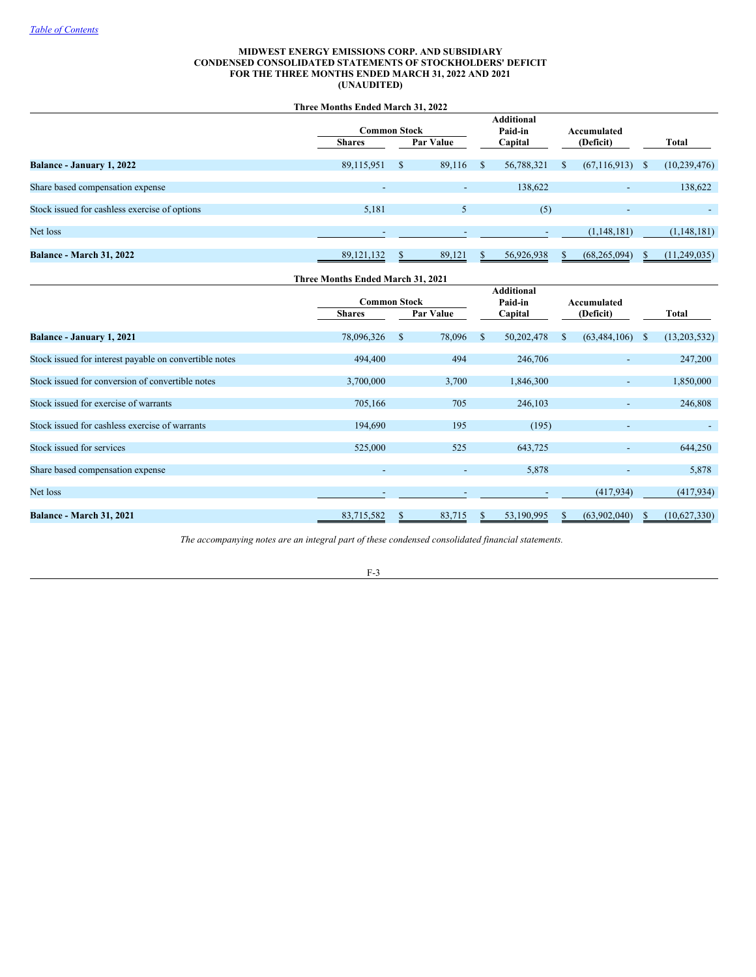### <span id="page-6-0"></span>**MIDWEST ENERGY EMISSIONS CORP. AND SUBSIDIARY CONDENSED CONSOLIDATED STATEMENTS OF STOCKHOLDERS' DEFICIT FOR THE THREE MONTHS ENDED MARCH 31, 2022 AND 2021 (UNAUDITED)**

| Three Months Ended March 31, 2022             |                          |    |           |              |                          |   |                |    |                |
|-----------------------------------------------|--------------------------|----|-----------|--------------|--------------------------|---|----------------|----|----------------|
|                                               |                          |    |           |              | <b>Additional</b>        |   |                |    |                |
|                                               | <b>Common Stock</b>      |    |           |              | Paid-in                  |   | Accumulated    |    |                |
|                                               | <b>Shares</b>            |    | Par Value |              | Capital                  |   | (Deficit)      |    | Total          |
| <b>Balance - January 1, 2022</b>              | 89,115,951               | \$ | 89,116    | <sup>S</sup> | 56,788,321               | S | (67, 116, 913) | -8 | (10, 239, 476) |
| Share based compensation expense              | $\overline{\phantom{0}}$ |    | $\sim$    |              | 138,622                  |   |                |    | 138,622        |
| Stock issued for cashless exercise of options | 5,181                    |    |           |              | (5)                      |   |                |    |                |
| Net loss                                      | $\overline{\phantom{0}}$ |    |           |              | $\overline{\phantom{a}}$ |   | (1,148,181)    |    | (1,148,181)    |
| <b>Balance - March 31, 2022</b>               | 89, 121, 132             |    | 89,121    |              | 56,926,938               |   | (68, 265, 094) |    | (11,249,035)   |
|                                               |                          |    |           |              |                          |   |                |    |                |

### **Three Months Ended March 31, 2021**

|                                                        | <b>Additional</b>        |               |                          |              |                          |             |                          |    |              |
|--------------------------------------------------------|--------------------------|---------------|--------------------------|--------------|--------------------------|-------------|--------------------------|----|--------------|
|                                                        | <b>Common Stock</b>      |               |                          | Paid-in      |                          | Accumulated |                          |    |              |
|                                                        | <b>Shares</b>            |               | Par Value                | Capital      |                          | (Deficit)   |                          |    | Total        |
|                                                        |                          |               |                          |              |                          |             |                          |    |              |
| Balance - January 1, 2021                              | 78,096,326               | <sup>\$</sup> | 78,096                   | <sup>S</sup> | 50,202,478               | S.          | (63, 484, 106)           | S. | (13,203,532) |
|                                                        |                          |               |                          |              |                          |             |                          |    |              |
| Stock issued for interest payable on convertible notes | 494,400                  |               | 494                      |              | 246,706                  |             | $\overline{\phantom{a}}$ |    | 247,200      |
|                                                        |                          |               |                          |              |                          |             |                          |    |              |
| Stock issued for conversion of convertible notes       | 3,700,000                |               | 3,700                    |              | 1,846,300                |             | $\overline{\phantom{a}}$ |    | 1,850,000    |
|                                                        |                          |               |                          |              |                          |             |                          |    |              |
| Stock issued for exercise of warrants                  | 705,166                  |               | 705                      |              | 246,103                  |             | $\overline{\phantom{a}}$ |    | 246,808      |
| Stock issued for cashless exercise of warrants         | 194,690                  |               | 195                      |              | (195)                    |             | $\overline{\phantom{a}}$ |    |              |
|                                                        |                          |               |                          |              |                          |             |                          |    |              |
| Stock issued for services                              | 525,000                  |               | 525                      |              | 643,725                  |             | $\sim$                   |    | 644,250      |
|                                                        |                          |               |                          |              |                          |             |                          |    |              |
| Share based compensation expense                       | $\overline{\phantom{a}}$ |               | $\overline{\phantom{a}}$ |              | 5,878                    |             | $\overline{\phantom{a}}$ |    | 5,878        |
|                                                        |                          |               |                          |              |                          |             |                          |    |              |
| Net loss                                               | $\overline{\phantom{a}}$ |               | -                        |              | $\overline{\phantom{0}}$ |             | (417, 934)               |    | (417, 934)   |
|                                                        |                          |               |                          |              |                          |             |                          |    |              |
| <b>Balance - March 31, 2021</b>                        | 83,715,582               |               | 83,715                   |              | 53,190,995               |             | (63,902,040)             | Ъ. | (10,627,330) |
|                                                        |                          |               |                          |              |                          |             |                          |    |              |

*The accompanying notes are an integral part of these condensed consolidated financial statements.*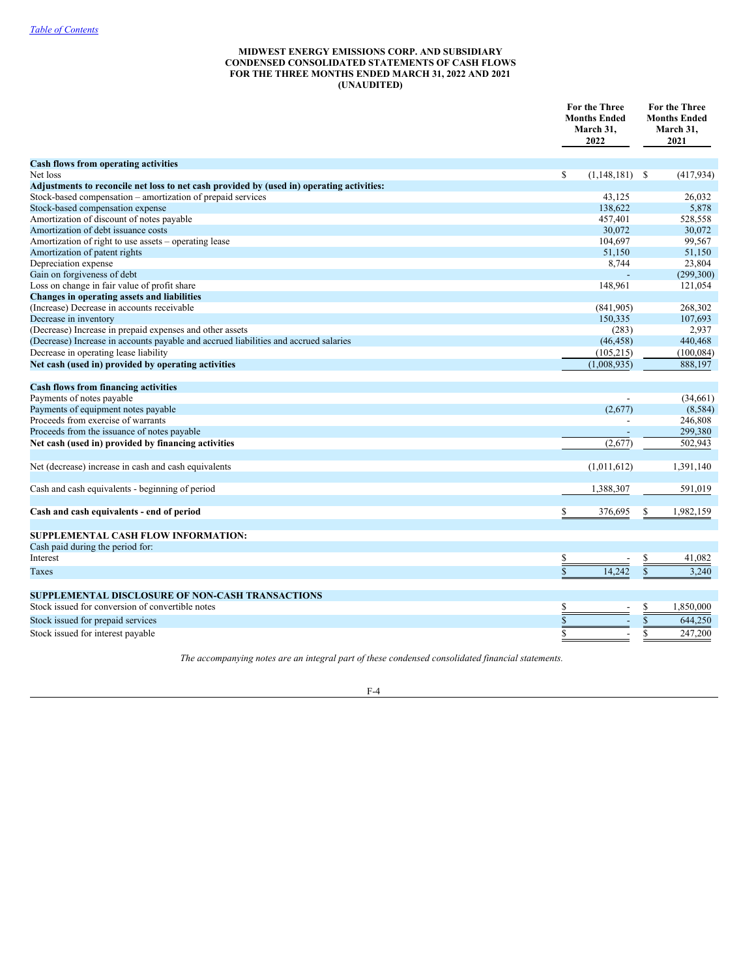### <span id="page-7-0"></span>**MIDWEST ENERGY EMISSIONS CORP. AND SUBSIDIARY CONDENSED CONSOLIDATED STATEMENTS OF CASH FLOWS FOR THE THREE MONTHS ENDED MARCH 31, 2022 AND 2021 (UNAUDITED)**

|                                                                                           | For the Three<br><b>Months Ended</b><br>March 31,<br>2022 | For the Three<br><b>Months Ended</b><br>March 31,<br>2021 |  |  |
|-------------------------------------------------------------------------------------------|-----------------------------------------------------------|-----------------------------------------------------------|--|--|
| <b>Cash flows from operating activities</b>                                               |                                                           |                                                           |  |  |
| Net loss                                                                                  | $(1,148,181)$ \$<br>\$                                    | (417, 934)                                                |  |  |
| Adjustments to reconcile net loss to net cash provided by (used in) operating activities: |                                                           |                                                           |  |  |
| Stock-based compensation – amortization of prepaid services                               | 43,125                                                    | 26,032                                                    |  |  |
| Stock-based compensation expense                                                          | 138,622                                                   | 5,878                                                     |  |  |
| Amortization of discount of notes payable                                                 | 457,401                                                   | 528,558                                                   |  |  |
| Amortization of debt issuance costs                                                       | 30,072                                                    | 30.072                                                    |  |  |
| Amortization of right to use assets – operating lease                                     | 104,697                                                   | 99,567                                                    |  |  |
| Amortization of patent rights                                                             | 51,150                                                    | 51,150                                                    |  |  |
| Depreciation expense                                                                      | 8,744                                                     | 23,804                                                    |  |  |
| Gain on forgiveness of debt                                                               |                                                           | (299, 300)                                                |  |  |
| Loss on change in fair value of profit share                                              | 148,961                                                   | 121,054                                                   |  |  |
| Changes in operating assets and liabilities                                               |                                                           |                                                           |  |  |
| (Increase) Decrease in accounts receivable                                                | (841, 905)                                                | 268,302                                                   |  |  |
| Decrease in inventory                                                                     | 150,335                                                   | 107,693                                                   |  |  |
| (Decrease) Increase in prepaid expenses and other assets                                  | (283)                                                     | 2,937                                                     |  |  |
| (Decrease) Increase in accounts payable and accrued liabilities and accrued salaries      | (46, 458)                                                 | 440,468                                                   |  |  |
| Decrease in operating lease liability                                                     | (105, 215)                                                | (100, 084)                                                |  |  |
| Net cash (used in) provided by operating activities                                       | (1,008,935)                                               | 888.197                                                   |  |  |
| <b>Cash flows from financing activities</b>                                               |                                                           |                                                           |  |  |
| Payments of notes payable                                                                 |                                                           | (34,661)                                                  |  |  |
| Payments of equipment notes payable                                                       | (2,677)                                                   | (8,584)                                                   |  |  |
| Proceeds from exercise of warrants                                                        |                                                           | 246,808                                                   |  |  |
| Proceeds from the issuance of notes payable                                               |                                                           | 299,380                                                   |  |  |
| Net cash (used in) provided by financing activities                                       | (2,677)                                                   | 502,943                                                   |  |  |
| Net (decrease) increase in cash and cash equivalents                                      | (1,011,612)                                               | 1,391,140                                                 |  |  |
| Cash and cash equivalents - beginning of period                                           | 1,388,307                                                 | 591,019                                                   |  |  |
| Cash and cash equivalents - end of period                                                 | \$<br>376,695                                             | 1,982,159<br>\$                                           |  |  |
|                                                                                           |                                                           |                                                           |  |  |
| SUPPLEMENTAL CASH FLOW INFORMATION:                                                       |                                                           |                                                           |  |  |
| Cash paid during the period for:                                                          |                                                           |                                                           |  |  |
| Interest                                                                                  | $rac{S}{S}$                                               | 41,082                                                    |  |  |
| Taxes                                                                                     | 14,242                                                    | $\overline{\$}$<br>3,240                                  |  |  |
| SUPPLEMENTAL DISCLOSURE OF NON-CASH TRANSACTIONS                                          |                                                           |                                                           |  |  |
| Stock issued for conversion of convertible notes                                          | \$                                                        | 1,850,000<br>\$                                           |  |  |
| Stock issued for prepaid services                                                         | $\overline{\mathbb{S}}$<br>$\overline{\phantom{a}}$       | \$<br>644,250                                             |  |  |
| Stock issued for interest payable                                                         | $\mathbb{S}$                                              | \$<br>247,200                                             |  |  |

*The accompanying notes are an integral part of these condensed consolidated financial statements.*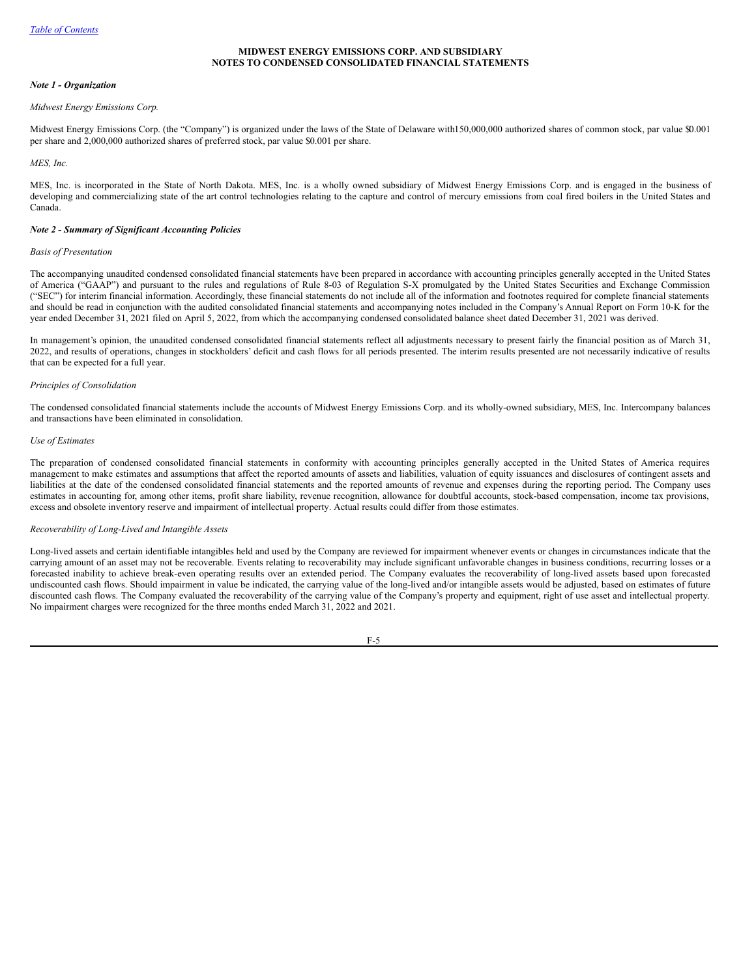### <span id="page-8-0"></span>**MIDWEST ENERGY EMISSIONS CORP. AND SUBSIDIARY NOTES TO CONDENSED CONSOLIDATED FINANCIAL STATEMENTS**

### *Note 1 - Organization*

### *Midwest Energy Emissions Corp.*

Midwest Energy Emissions Corp. (the "Company") is organized under the laws of the State of Delaware with150,000,000 authorized shares of common stock, par value \$0.001 per share and 2,000,000 authorized shares of preferred stock, par value \$0.001 per share.

### *MES, Inc.*

MES, Inc. is incorporated in the State of North Dakota. MES, Inc. is a wholly owned subsidiary of Midwest Energy Emissions Corp. and is engaged in the business of developing and commercializing state of the art control technologies relating to the capture and control of mercury emissions from coal fired boilers in the United States and Canada.

### *Note 2 - Summary of Significant Accounting Policies*

#### *Basis of Presentation*

The accompanying unaudited condensed consolidated financial statements have been prepared in accordance with accounting principles generally accepted in the United States of America ("GAAP") and pursuant to the rules and regulations of Rule 8-03 of Regulation S-X promulgated by the United States Securities and Exchange Commission ("SEC") for interim financial information. Accordingly, these financial statements do not include all of the information and footnotes required for complete financial statements and should be read in conjunction with the audited consolidated financial statements and accompanying notes included in the Company's Annual Report on Form 10-K for the year ended December 31, 2021 filed on April 5, 2022, from which the accompanying condensed consolidated balance sheet dated December 31, 2021 was derived.

In management's opinion, the unaudited condensed consolidated financial statements reflect all adjustments necessary to present fairly the financial position as of March 31, 2022, and results of operations, changes in stockholders' deficit and cash flows for all periods presented. The interim results presented are not necessarily indicative of results that can be expected for a full year.

### *Principles of Consolidation*

The condensed consolidated financial statements include the accounts of Midwest Energy Emissions Corp. and its wholly-owned subsidiary, MES, Inc. Intercompany balances and transactions have been eliminated in consolidation.

### *Use of Estimates*

The preparation of condensed consolidated financial statements in conformity with accounting principles generally accepted in the United States of America requires management to make estimates and assumptions that affect the reported amounts of assets and liabilities, valuation of equity issuances and disclosures of contingent assets and liabilities at the date of the condensed consolidated financial statements and the reported amounts of revenue and expenses during the reporting period. The Company uses estimates in accounting for, among other items, profit share liability, revenue recognition, allowance for doubtful accounts, stock-based compensation, income tax provisions, excess and obsolete inventory reserve and impairment of intellectual property. Actual results could differ from those estimates.

#### *Recoverability of Long-Lived and Intangible Assets*

Long-lived assets and certain identifiable intangibles held and used by the Company are reviewed for impairment whenever events or changes in circumstances indicate that the carrying amount of an asset may not be recoverable. Events relating to recoverability may include significant unfavorable changes in business conditions, recurring losses or a forecasted inability to achieve break-even operating results over an extended period. The Company evaluates the recoverability of long-lived assets based upon forecasted undiscounted cash flows. Should impairment in value be indicated, the carrying value of the long-lived and/or intangible assets would be adjusted, based on estimates of future discounted cash flows. The Company evaluated the recoverability of the carrying value of the Company's property and equipment, right of use asset and intellectual property. No impairment charges were recognized for the three months ended March 31, 2022 and 2021.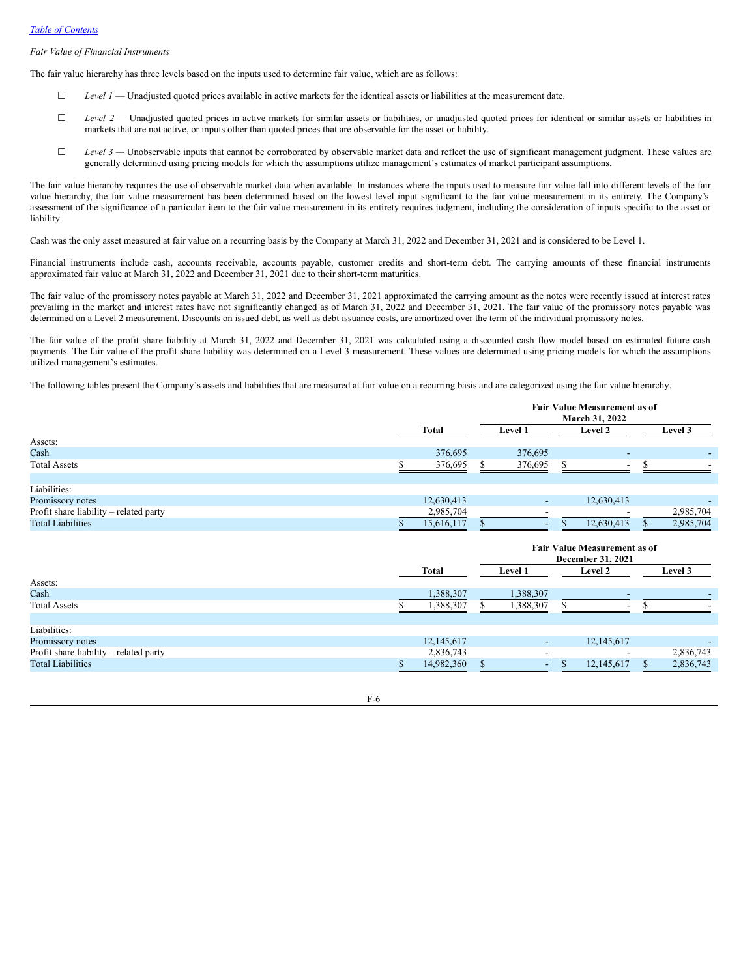*Fair Value of Financial Instruments*

The fair value hierarchy has three levels based on the inputs used to determine fair value, which are as follows:

- ☐ *Level 1* Unadjusted quoted prices available in active markets for the identical assets or liabilities at the measurement date.
- ☐ *Level 2* Unadjusted quoted prices in active markets for similar assets or liabilities, or unadjusted quoted prices for identical or similar assets or liabilities in markets that are not active, or inputs other than quoted prices that are observable for the asset or liability.
- □ *Level* 3 Unobservable inputs that cannot be corroborated by observable market data and reflect the use of significant management judgment. These values are generally determined using pricing models for which the assumptions utilize management's estimates of market participant assumptions.

The fair value hierarchy requires the use of observable market data when available. In instances where the inputs used to measure fair value fall into different levels of the fair value hierarchy, the fair value measurement has been determined based on the lowest level input significant to the fair value measurement in its entirety. The Company's assessment of the significance of a particular item to the fair value measurement in its entirety requires judgment, including the consideration of inputs specific to the asset or liability.

Cash was the only asset measured at fair value on a recurring basis by the Company at March 31, 2022 and December 31, 2021 and is considered to be Level 1.

Financial instruments include cash, accounts receivable, accounts payable, customer credits and short-term debt. The carrying amounts of these financial instruments approximated fair value at March 31, 2022 and December 31, 2021 due to their short-term maturities.

The fair value of the promissory notes payable at March 31, 2022 and December 31, 2021 approximated the carrying amount as the notes were recently issued at interest rates prevailing in the market and interest rates have not significantly changed as of March 31, 2022 and December 31, 2021. The fair value of the promissory notes payable was determined on a Level 2 measurement. Discounts on issued debt, as well as debt issuance costs, are amortized over the term of the individual promissory notes.

The fair value of the profit share liability at March 31, 2022 and December 31, 2021 was calculated using a discounted cash flow model based on estimated future cash payments. The fair value of the profit share liability was determined on a Level 3 measurement. These values are determined using pricing models for which the assumptions utilized management's estimates.

The following tables present the Company's assets and liabilities that are measured at fair value on a recurring basis and are categorized using the fair value hierarchy.

|                                        |              | <b>Fair Value Measurement as of</b> |                          |  |                          |
|----------------------------------------|--------------|-------------------------------------|--------------------------|--|--------------------------|
|                                        | <b>Total</b> | Level 1                             | <b>Level 2</b>           |  | Level 3                  |
| Assets:                                |              |                                     |                          |  |                          |
| Cash                                   | 376,695      | 376,695                             | $\overline{\phantom{a}}$ |  |                          |
| <b>Total Assets</b>                    | 376,695      | 376,695                             |                          |  |                          |
| Liabilities:                           |              |                                     |                          |  |                          |
| Promissory notes                       | 12,630,413   | $\overline{\phantom{a}}$            | 12,630,413               |  | $\overline{\phantom{0}}$ |
| Profit share liability - related party | 2,985,704    | $\overline{\phantom{a}}$            |                          |  | 2,985,704                |
| <b>Total Liabilities</b>               | 15,616,117   | $\overline{\phantom{0}}$            | 12,630,413               |  | 2,985,704                |

|                                        |              | <b>Fair Value Measurement as of</b><br>December 31, 2021 |                          |           |  |  |  |
|----------------------------------------|--------------|----------------------------------------------------------|--------------------------|-----------|--|--|--|
|                                        | <b>Total</b> | <b>Level 1</b>                                           | Level 2                  | Level 3   |  |  |  |
| Assets:                                |              |                                                          |                          |           |  |  |  |
| Cash                                   | 1,388,307    | 1,388,307                                                | $\overline{\phantom{0}}$ |           |  |  |  |
| <b>Total Assets</b>                    | 1,388,307    | 1,388,307                                                | $\sim$                   |           |  |  |  |
| Liabilities:                           |              |                                                          |                          |           |  |  |  |
| Promissory notes                       | 12,145,617   | $\sim$                                                   | 12,145,617               |           |  |  |  |
| Profit share liability – related party | 2,836,743    | $\overline{\phantom{a}}$                                 |                          | 2,836,743 |  |  |  |
| <b>Total Liabilities</b>               | 14,982,360   | $\sim$                                                   | 12,145,617               | 2,836,743 |  |  |  |

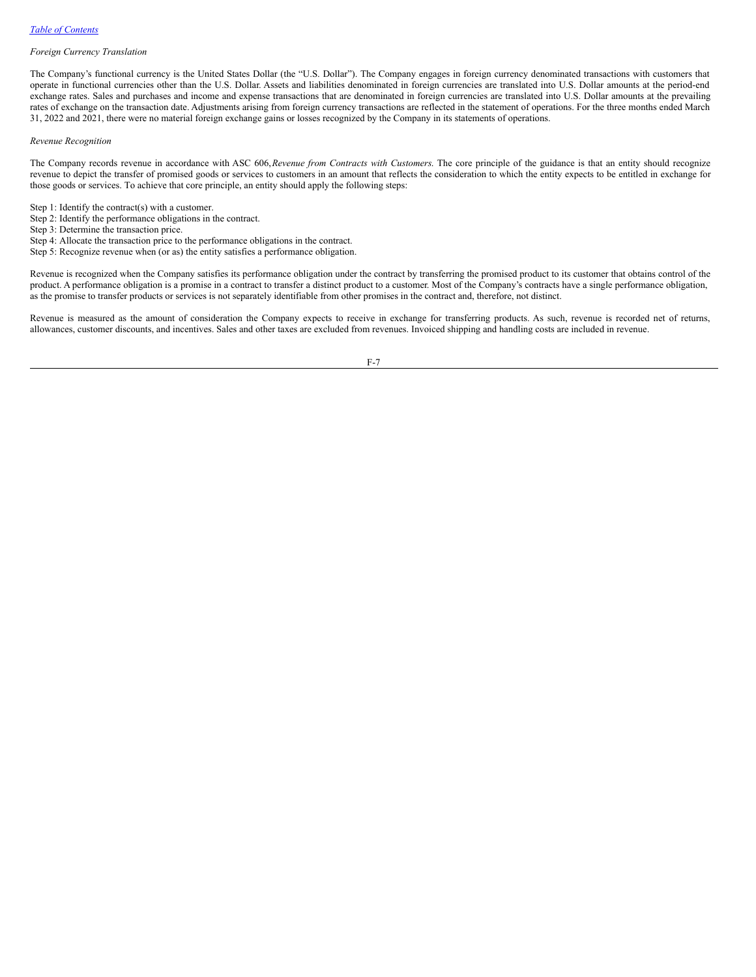### *Foreign Currency Translation*

The Company's functional currency is the United States Dollar (the "U.S. Dollar"). The Company engages in foreign currency denominated transactions with customers that operate in functional currencies other than the U.S. Dollar. Assets and liabilities denominated in foreign currencies are translated into U.S. Dollar amounts at the period-end exchange rates. Sales and purchases and income and expense transactions that are denominated in foreign currencies are translated into U.S. Dollar amounts at the prevailing rates of exchange on the transaction date. Adjustments arising from foreign currency transactions are reflected in the statement of operations. For the three months ended March 31, 2022 and 2021, there were no material foreign exchange gains or losses recognized by the Company in its statements of operations.

### *Revenue Recognition*

The Company records revenue in accordance with ASC 606,*Revenue from Contracts with Customers*. The core principle of the guidance is that an entity should recognize revenue to depict the transfer of promised goods or services to customers in an amount that reflects the consideration to which the entity expects to be entitled in exchange for those goods or services. To achieve that core principle, an entity should apply the following steps:

- Step 1: Identify the contract(s) with a customer.
- Step 2: Identify the performance obligations in the contract.
- Step 3: Determine the transaction price.
- Step 4: Allocate the transaction price to the performance obligations in the contract.
- Step 5: Recognize revenue when (or as) the entity satisfies a performance obligation.

Revenue is recognized when the Company satisfies its performance obligation under the contract by transferring the promised product to its customer that obtains control of the product. A performance obligation is a promise in a contract to transfer a distinct product to a customer. Most of the Company's contracts have a single performance obligation, as the promise to transfer products or services is not separately identifiable from other promises in the contract and, therefore, not distinct.

Revenue is measured as the amount of consideration the Company expects to receive in exchange for transferring products. As such, revenue is recorded net of returns, allowances, customer discounts, and incentives. Sales and other taxes are excluded from revenues. Invoiced shipping and handling costs are included in revenue.

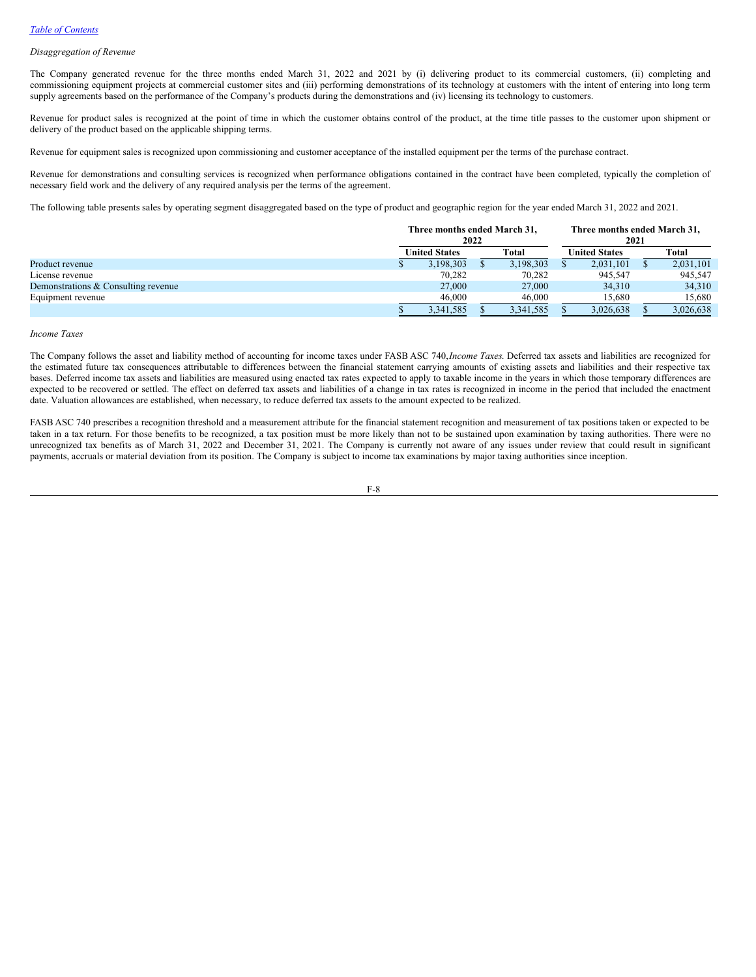### *Disaggregation of Revenue*

The Company generated revenue for the three months ended March 31, 2022 and 2021 by (i) delivering product to its commercial customers, (ii) completing and commissioning equipment projects at commercial customer sites and (iii) performing demonstrations of its technology at customers with the intent of entering into long term supply agreements based on the performance of the Company's products during the demonstrations and (iv) licensing its technology to customers.

Revenue for product sales is recognized at the point of time in which the customer obtains control of the product, at the time title passes to the customer upon shipment or delivery of the product based on the applicable shipping terms.

Revenue for equipment sales is recognized upon commissioning and customer acceptance of the installed equipment per the terms of the purchase contract.

Revenue for demonstrations and consulting services is recognized when performance obligations contained in the contract have been completed, typically the completion of necessary field work and the delivery of any required analysis per the terms of the agreement.

The following table presents sales by operating segment disaggregated based on the type of product and geographic region for the year ended March 31, 2022 and 2021.

|                                     | Three months ended March 31,<br>2022 |  |           |  | Three months ended March 31,<br>2021 |  |           |  |
|-------------------------------------|--------------------------------------|--|-----------|--|--------------------------------------|--|-----------|--|
|                                     | <b>United States</b>                 |  | Total     |  | <b>United States</b>                 |  | Total     |  |
| Product revenue                     | 3,198,303                            |  | 3,198,303 |  | 2,031,101                            |  | 2,031,101 |  |
| License revenue                     | 70.282                               |  | 70.282    |  | 945.547                              |  | 945.547   |  |
| Demonstrations & Consulting revenue | 27,000                               |  | 27,000    |  | 34,310                               |  | 34,310    |  |
| Equipment revenue                   | 46,000                               |  | 46,000    |  | 15.680                               |  | 15,680    |  |
|                                     | 3,341,585                            |  | 3,341,585 |  | 3,026,638                            |  | 3,026,638 |  |

#### *Income Taxes*

The Company follows the asset and liability method of accounting for income taxes under FASB ASC 740,*Income Taxes*. Deferred tax assets and liabilities are recognized for the estimated future tax consequences attributable to differences between the financial statement carrying amounts of existing assets and liabilities and their respective tax bases. Deferred income tax assets and liabilities are measured using enacted tax rates expected to apply to taxable income in the years in which those temporary differences are expected to be recovered or settled. The effect on deferred tax assets and liabilities of a change in tax rates is recognized in income in the period that included the enactment date. Valuation allowances are established, when necessary, to reduce deferred tax assets to the amount expected to be realized.

FASB ASC 740 prescribes a recognition threshold and a measurement attribute for the financial statement recognition and measurement of tax positions taken or expected to be taken in a tax return. For those benefits to be recognized, a tax position must be more likely than not to be sustained upon examination by taxing authorities. There were no unrecognized tax benefits as of March 31, 2022 and December 31, 2021. The Company is currently not aware of any issues under review that could result in significant payments, accruals or material deviation from its position. The Company is subject to income tax examinations by major taxing authorities since inception.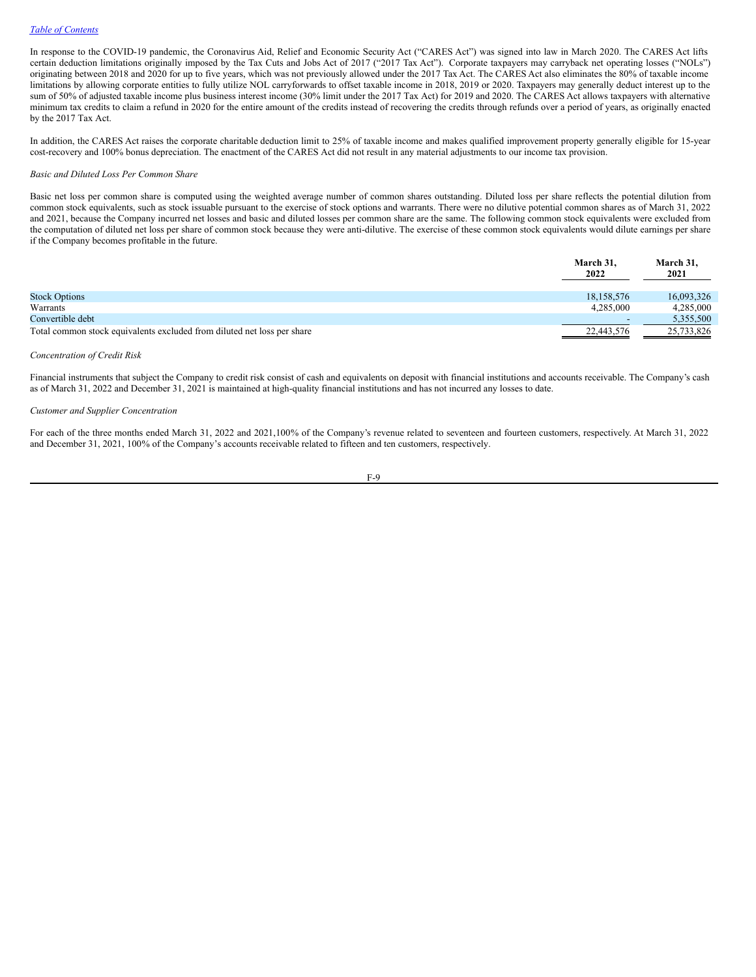### *Table of [Contents](#page-3-1)*

In response to the COVID-19 pandemic, the Coronavirus Aid, Relief and Economic Security Act ("CARES Act") was signed into law in March 2020. The CARES Act lifts certain deduction limitations originally imposed by the Tax Cuts and Jobs Act of 2017 ("2017 Tax Act"). Corporate taxpayers may carryback net operating losses ("NOLs") originating between 2018 and 2020 for up to five years, which was not previously allowed under the 2017 Tax Act. The CARES Act also eliminates the 80% of taxable income limitations by allowing corporate entities to fully utilize NOL carryforwards to offset taxable income in 2018, 2019 or 2020. Taxpayers may generally deduct interest up to the sum of 50% of adjusted taxable income plus business interest income (30% limit under the 2017 Tax Act) for 2019 and 2020. The CARES Act allows taxpayers with alternative minimum tax credits to claim a refund in 2020 for the entire amount of the credits instead of recovering the credits through refunds over a period of years, as originally enacted by the 2017 Tax Act.

In addition, the CARES Act raises the corporate charitable deduction limit to 25% of taxable income and makes qualified improvement property generally eligible for 15-year cost-recovery and 100% bonus depreciation. The enactment of the CARES Act did not result in any material adjustments to our income tax provision.

### *Basic and Diluted Loss Per Common Share*

Basic net loss per common share is computed using the weighted average number of common shares outstanding. Diluted loss per share reflects the potential dilution from common stock equivalents, such as stock issuable pursuant to the exercise of stock options and warrants. There were no dilutive potential common shares as of March 31, 2022 and 2021, because the Company incurred net losses and basic and diluted losses per common share are the same. The following common stock equivalents were excluded from the computation of diluted net loss per share of common stock because they were anti-dilutive. The exercise of these common stock equivalents would dilute earnings per share if the Company becomes profitable in the future.

|                                                                         | March 31.<br>2022 | March 31,<br>2021 |
|-------------------------------------------------------------------------|-------------------|-------------------|
| <b>Stock Options</b>                                                    | 18,158,576        | 16,093,326        |
| Warrants                                                                | 4.285.000         | 4,285,000         |
| Convertible debt                                                        |                   | 5,355,500         |
| Total common stock equivalents excluded from diluted net loss per share | 22,443,576        | 25,733,826        |

#### *Concentration of Credit Risk*

Financial instruments that subject the Company to credit risk consist of cash and equivalents on deposit with financial institutions and accounts receivable. The Company's cash as of March 31, 2022 and December 31, 2021 is maintained at high-quality financial institutions and has not incurred any losses to date.

#### *Customer and Supplier Concentration*

For each of the three months ended March 31, 2022 and 2021,100% of the Company's revenue related to seventeen and fourteen customers, respectively. At March 31, 2022 and December 31, 2021, 100% of the Company's accounts receivable related to fifteen and ten customers, respectively.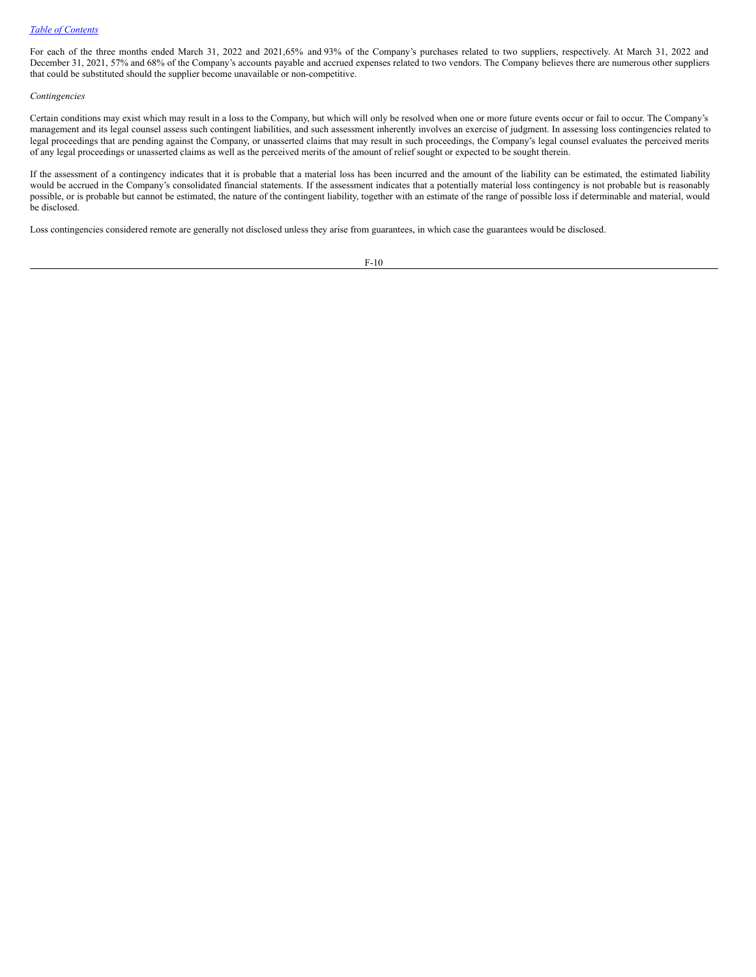For each of the three months ended March 31, 2022 and 2021,65% and 93% of the Company's purchases related to two suppliers, respectively. At March 31, 2022 and December 31, 2021, 57% and 68% of the Company's accounts payable and accrued expenses related to two vendors. The Company believes there are numerous other suppliers that could be substituted should the supplier become unavailable or non-competitive.

#### *Contingencies*

Certain conditions may exist which may result in a loss to the Company, but which will only be resolved when one or more future events occur or fail to occur. The Company's management and its legal counsel assess such contingent liabilities, and such assessment inherently involves an exercise of judgment. In assessing loss contingencies related to legal proceedings that are pending against the Company, or unasserted claims that may result in such proceedings, the Company's legal counsel evaluates the perceived merits of any legal proceedings or unasserted claims as well as the perceived merits of the amount of relief sought or expected to be sought therein.

If the assessment of a contingency indicates that it is probable that a material loss has been incurred and the amount of the liability can be estimated, the estimated liability would be accrued in the Company's consolidated financial statements. If the assessment indicates that a potentially material loss contingency is not probable but is reasonably possible, or is probable but cannot be estimated, the nature of the contingent liability, together with an estimate of the range of possible loss if determinable and material, would be disclosed.

Loss contingencies considered remote are generally not disclosed unless they arise from guarantees, in which case the guarantees would be disclosed.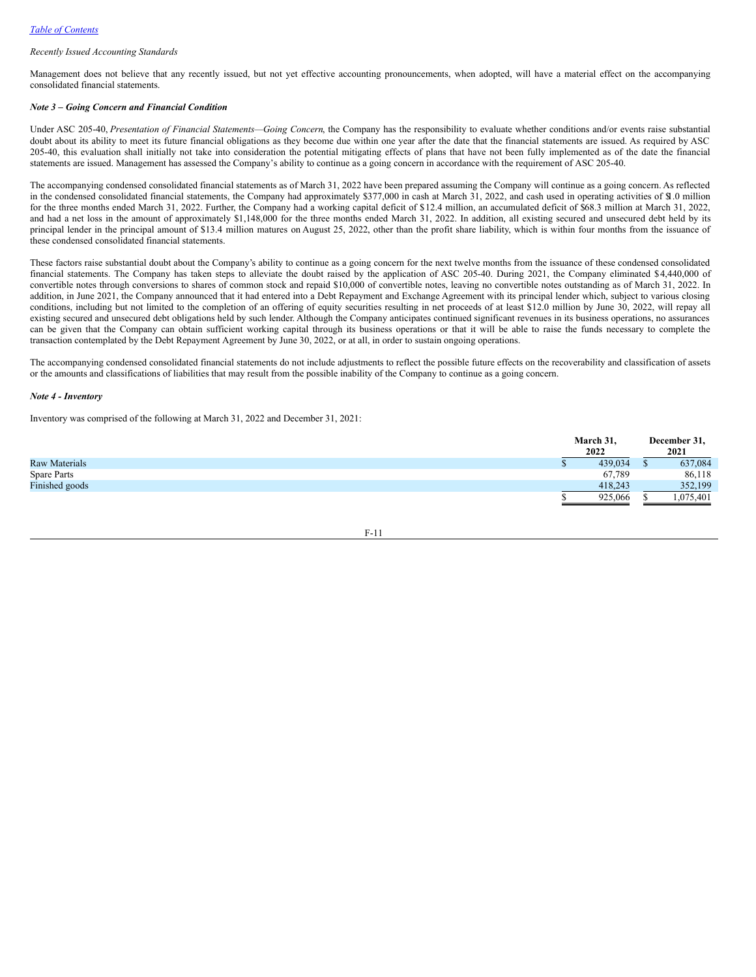### *Recently Issued Accounting Standards*

Management does not believe that any recently issued, but not yet effective accounting pronouncements, when adopted, will have a material effect on the accompanying consolidated financial statements.

### *Note 3 – Going Concern and Financial Condition*

Under ASC 205-40, *Presentation of Financial Statements—Going Concern*, the Company has the responsibility to evaluate whether conditions and/or events raise substantial doubt about its ability to meet its future financial obligations as they become due within one year after the date that the financial statements are issued. As required by ASC 205-40, this evaluation shall initially not take into consideration the potential mitigating effects of plans that have not been fully implemented as of the date the financial statements are issued. Management has assessed the Company's ability to continue as a going concern in accordance with the requirement of ASC 205-40.

The accompanying condensed consolidated financial statements as of March 31, 2022 have been prepared assuming the Company will continue as a going concern. As reflected in the condensed consolidated financial statements, the Company had approximately \$377,000 in cash at March 31, 2022, and cash used in operating activities of \$1.0 million for the three months ended March 31, 2022. Further, the Company had a working capital deficit of \$12.4 million, an accumulated deficit of \$68.3 million at March 31, 2022, and had a net loss in the amount of approximately \$1,148,000 for the three months ended March 31, 2022. In addition, all existing secured and unsecured debt held by its principal lender in the principal amount of \$13.4 million matures on August 25, 2022, other than the profit share liability, which is within four months from the issuance of these condensed consolidated financial statements.

These factors raise substantial doubt about the Company's ability to continue as a going concern for the next twelve months from the issuance of these condensed consolidated financial statements. The Company has taken steps to alleviate the doubt raised by the application of ASC 205-40. During 2021, the Company eliminated \$4,440,000 of convertible notes through conversions to shares of common stock and repaid \$10,000 of convertible notes, leaving no convertible notes outstanding as of March 31, 2022. In addition, in June 2021, the Company announced that it had entered into a Debt Repayment and Exchange Agreement with its principal lender which, subject to various closing conditions, including but not limited to the completion of an offering of equity securities resulting in net proceeds of at least \$12.0 million by June 30, 2022, will repay all existing secured and unsecured debt obligations held by such lender. Although the Company anticipates continued significant revenues in its business operations, no assurances can be given that the Company can obtain sufficient working capital through its business operations or that it will be able to raise the funds necessary to complete the transaction contemplated by the Debt Repayment Agreement by June 30, 2022, or at all, in order to sustain ongoing operations.

The accompanying condensed consolidated financial statements do not include adjustments to reflect the possible future effects on the recoverability and classification of assets or the amounts and classifications of liabilities that may result from the possible inability of the Company to continue as a going concern.

#### *Note 4 - Inventory*

Inventory was comprised of the following at March 31, 2022 and December 31, 2021:

|                      |   | March 31,<br>2022 | December 31,<br>2021 |           |
|----------------------|---|-------------------|----------------------|-----------|
| <b>Raw Materials</b> | w | 439,034           |                      | 637,084   |
| Spare Parts          |   | 67.789            |                      | 86,118    |
| Finished goods       |   | 418.243           |                      | 352,199   |
|                      |   | 925,066           |                      | 1,075,401 |

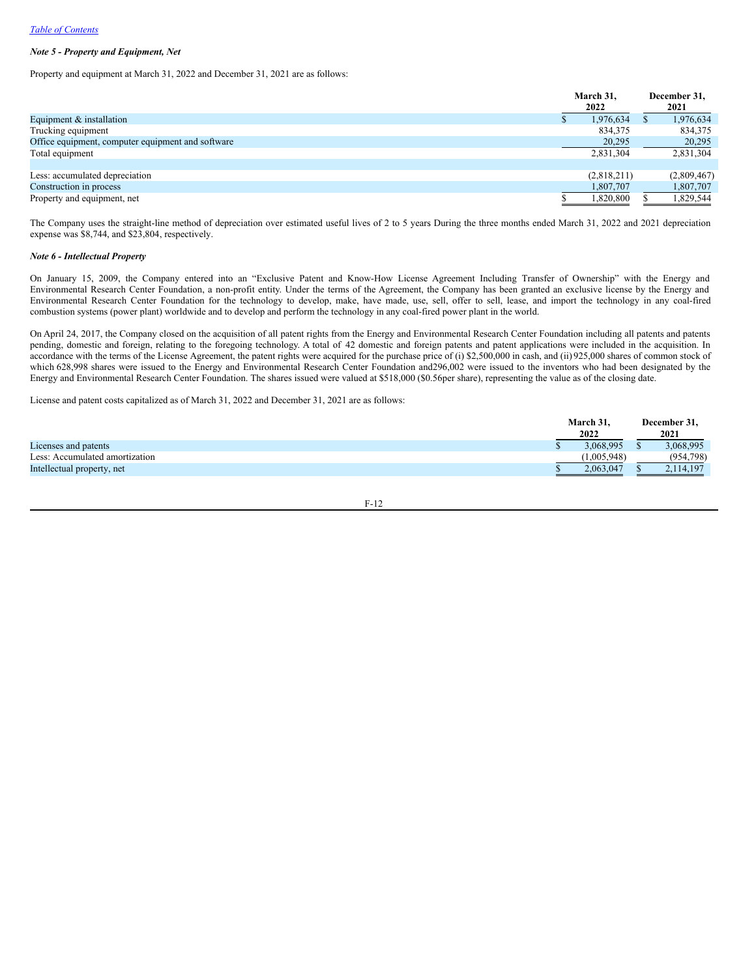### *Note 5 - Property and Equipment, Net*

Property and equipment at March 31, 2022 and December 31, 2021 are as follows:

|                                                   | March 31,<br>2022 | December 31,<br>2021 |
|---------------------------------------------------|-------------------|----------------------|
| Equipment $&$ installation                        | 1.976.634         | 1.976.634            |
| Trucking equipment                                | 834,375           | 834,375              |
| Office equipment, computer equipment and software | 20,295            | 20,295               |
| Total equipment                                   | 2,831,304         | 2,831,304            |
|                                                   |                   |                      |
| Less: accumulated depreciation                    | (2,818,211)       | (2,809,467)          |
| Construction in process                           | 1,807,707         | 1,807,707            |
| Property and equipment, net                       | 1.820.800         | 1,829,544            |

The Company uses the straight-line method of depreciation over estimated useful lives of 2 to 5 years During the three months ended March 31, 2022 and 2021 depreciation expense was \$8,744, and \$23,804, respectively.

### *Note 6 - Intellectual Property*

On January 15, 2009, the Company entered into an "Exclusive Patent and Know-How License Agreement Including Transfer of Ownership" with the Energy and Environmental Research Center Foundation, a non-profit entity. Under the terms of the Agreement, the Company has been granted an exclusive license by the Energy and Environmental Research Center Foundation for the technology to develop, make, have made, use, sell, offer to sell, lease, and import the technology in any coal-fired combustion systems (power plant) worldwide and to develop and perform the technology in any coal-fired power plant in the world.

On April 24, 2017, the Company closed on the acquisition of all patent rights from the Energy and Environmental Research Center Foundation including all patents and patents pending, domestic and foreign, relating to the foregoing technology. A total of 42 domestic and foreign patents and patent applications were included in the acquisition. In accordance with the terms of the License Agreement, the patent rights were acquired for the purchase price of (i) \$2,500,000 in cash, and (ii) 925,000 shares of common stock of which 628,998 shares were issued to the Energy and Environmental Research Center Foundation and 296,002 were issued to the inventors who had been designated by the Energy and Environmental Research Center Foundation. The shares issued were valued at \$518,000 (\$0.56per share), representing the value as of the closing date.

License and patent costs capitalized as of March 31, 2022 and December 31, 2021 are as follows:

|                                | March 31,   | December 31. |            |  |
|--------------------------------|-------------|--------------|------------|--|
|                                | 2022        |              | 2021       |  |
| Licenses and patents           | 3.068.995   |              | 3.068.995  |  |
| Less: Accumulated amortization | (1.005.948) |              | (954, 798) |  |
| Intellectual property, net     | 2.063.047   |              | 2.114.197  |  |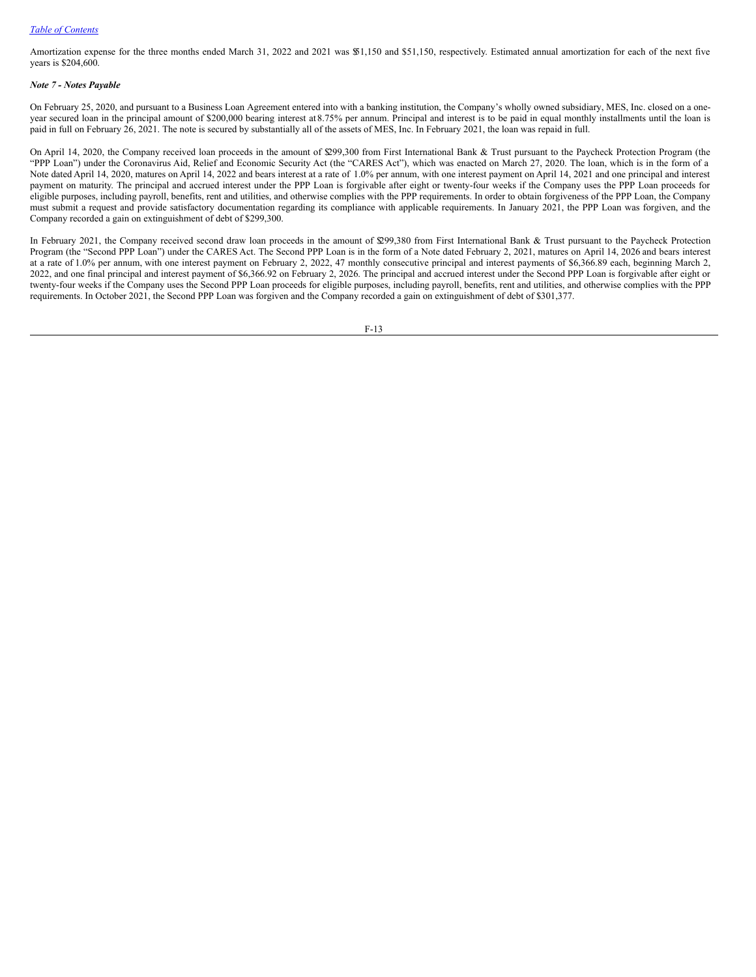### *Table of [Contents](#page-3-1)*

Amortization expense for the three months ended March 31, 2022 and 2021 was \$51,150 and \$51,150, respectively. Estimated annual amortization for each of the next five years is \$204,600.

# *Note 7 - Notes Payable*

On February 25, 2020, and pursuant to a Business Loan Agreement entered into with a banking institution, the Company's wholly owned subsidiary, MES, Inc. closed on a oneyear secured loan in the principal amount of \$200,000 bearing interest at 8.75% per annum. Principal and interest is to be paid in equal monthly installments until the loan is paid in full on February 26, 2021. The note is secured by substantially all of the assets of MES, Inc. In February 2021, the loan was repaid in full.

On April 14, 2020, the Company received loan proceeds in the amount of \$299,300 from First International Bank & Trust pursuant to the Paycheck Protection Program (the "PPP Loan") under the Coronavirus Aid, Relief and Economic Security Act (the "CARES Act"), which was enacted on March 27, 2020. The loan, which is in the form of a Note dated April 14, 2020, matures on April 14, 2022 and bears interest at a rate of 1.0% per annum, with one interest payment on April 14, 2021 and one principal and interest payment on maturity. The principal and accrued interest under the PPP Loan is forgivable after eight or twenty-four weeks if the Company uses the PPP Loan proceeds for eligible purposes, including payroll, benefits, rent and utilities, and otherwise complies with the PPP requirements. In order to obtain forgiveness of the PPP Loan, the Company must submit a request and provide satisfactory documentation regarding its compliance with applicable requirements. In January 2021, the PPP Loan was forgiven, and the Company recorded a gain on extinguishment of debt of \$299,300.

In February 2021, the Company received second draw loan proceeds in the amount of \$299,380 from First International Bank & Trust pursuant to the Paycheck Protection Program (the "Second PPP Loan") under the CARES Act. The Second PPP Loan is in the form of a Note dated February 2, 2021, matures on April 14, 2026 and bears interest at a rate of 1.0% per annum, with one interest payment on February 2, 2022, 47 monthly consecutive principal and interest payments of \$6,366.89 each, beginning March 2, 2022, and one final principal and interest payment of \$6,366.92 on February 2, 2026. The principal and accrued interest under the Second PPP Loan is forgivable after eight or twenty-four weeks if the Company uses the Second PPP Loan proceeds for eligible purposes, including payroll, benefits, rent and utilities, and otherwise complies with the PPP requirements. In October 2021, the Second PPP Loan was forgiven and the Company recorded a gain on extinguishment of debt of \$301,377.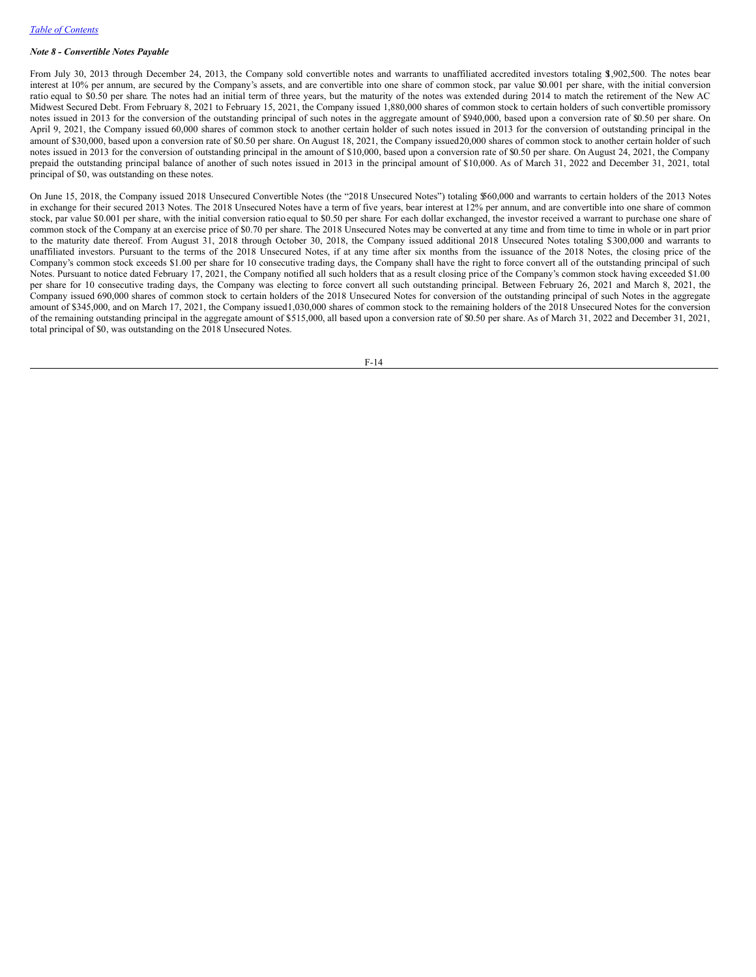### *Note 8 - Convertible Notes Payable*

From July 30, 2013 through December 24, 2013, the Company sold convertible notes and warrants to unaffiliated accredited investors totaling \$1,902,500. The notes bear interest at 10% per annum, are secured by the Company's assets, and are convertible into one share of common stock, par value \$0.001 per share, with the initial conversion ratio equal to \$0.50 per share. The notes had an initial term of three years, but the maturity of the notes was extended during 2014 to match the retirement of the New AC Midwest Secured Debt. From February 8, 2021 to February 15, 2021, the Company issued 1,880,000 shares of common stock to certain holders of such convertible promissory notes issued in 2013 for the conversion of the outstanding principal of such notes in the aggregate amount of \$940,000, based upon a conversion rate of \$0.50 per share. On April 9, 2021, the Company issued 60,000 shares of common stock to another certain holder of such notes issued in 2013 for the conversion of outstanding principal in the amount of \$30,000, based upon a conversion rate of \$0.50 per share. On August 18, 2021, the Company issued20,000 shares of common stock to another certain holder of such notes issued in 2013 for the conversion of outstanding principal in the amount of \$10,000, based upon a conversion rate of \$0.50 per share. On August 24, 2021, the Company prepaid the outstanding principal balance of another of such notes issued in 2013 in the principal amount of \$10,000. As of March 31, 2022 and December 31, 2021, total principal of \$0, was outstanding on these notes.

On June 15, 2018, the Company issued 2018 Unsecured Convertible Notes (the "2018 Unsecured Notes") totaling \$560,000 and warrants to certain holders of the 2013 Notes in exchange for their secured 2013 Notes. The 2018 Unsecured Notes have a term of five years, bear interest at 12% per annum, and are convertible into one share of common stock, par value \$0.001 per share, with the initial conversion ratio equal to \$0.50 per share. For each dollar exchanged, the investor received a warrant to purchase one share of common stock of the Company at an exercise price of \$0.70 per share. The 2018 Unsecured Notes may be converted at any time and from time to time in whole or in part prior to the maturity date thereof. From August 31, 2018 through October 30, 2018, the Company issued additional 2018 Unsecured Notes totaling \$300,000 and warrants to unaffiliated investors. Pursuant to the terms of the 2018 Unsecured Notes, if at any time after six months from the issuance of the 2018 Notes, the closing price of the Company's common stock exceeds \$1.00 per share for 10 consecutive trading days, the Company shall have the right to force convert all of the outstanding principal of such Notes. Pursuant to notice dated February 17, 2021, the Company notified all such holders that as a result closing price of the Company's common stock having exceeded \$1.00 per share for 10 consecutive trading days, the Company was electing to force convert all such outstanding principal. Between February 26, 2021 and March 8, 2021, the Company issued 690,000 shares of common stock to certain holders of the 2018 Unsecured Notes for conversion of the outstanding principal of such Notes in the aggregate amount of \$345,000, and on March 17, 2021, the Company issued1,030,000 shares of common stock to the remaining holders of the 2018 Unsecured Notes for the conversion of the remaining outstanding principal in the aggregate amount of \$515,000, all based upon a conversion rate of \$0.50 per share. As of March 31, 2022 and December 31, 2021, total principal of \$0, was outstanding on the 2018 Unsecured Notes.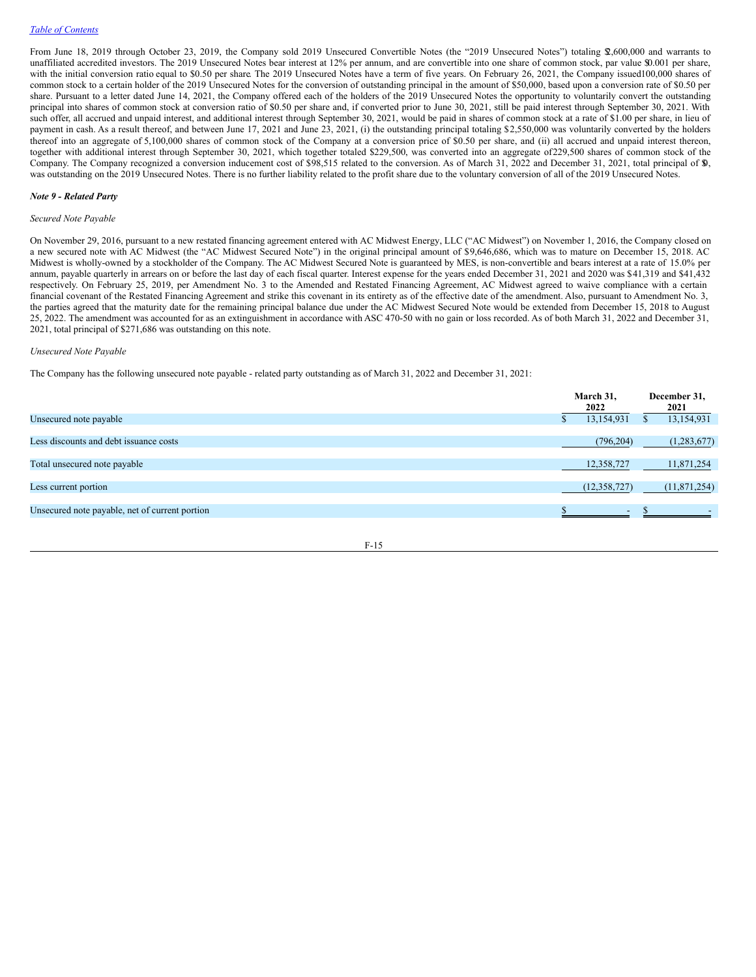From June 18, 2019 through October 23, 2019, the Company sold 2019 Unsecured Convertible Notes (the "2019 Unsecured Notes") totaling \$2,600,000 and warrants to unaffiliated accredited investors. The 2019 Unsecured Notes bear interest at 12% per annum, and are convertible into one share of common stock, par value \$0.001 per share, with the initial conversion ratio equal to \$0.50 per share. The 2019 Unsecured Notes have a term of five years. On February 26, 2021, the Company issued100,000 shares of common stock to a certain holder of the 2019 Unsecured Notes for the conversion of outstanding principal in the amount of \$50,000, based upon a conversion rate of \$0.50 per share. Pursuant to a letter dated June 14, 2021, the Company offered each of the holders of the 2019 Unsecured Notes the opportunity to voluntarily convert the outstanding principal into shares of common stock at conversion ratio of \$0.50 per share and, if converted prior to June 30, 2021, still be paid interest through September 30, 2021. With such offer, all accrued and unpaid interest, and additional interest through September 30, 2021, would be paid in shares of common stock at a rate of \$1.00 per share, in lieu of payment in cash. As a result thereof, and between June 17, 2021 and June 23, 2021, (i) the outstanding principal totaling \$2,550,000 was voluntarily converted by the holders thereof into an aggregate of 5,100,000 shares of common stock of the Company at a conversion price of \$0.50 per share, and (ii) all accrued and unpaid interest thereon, together with additional interest through September 30, 2021, which together totaled \$229,500, was converted into an aggregate of229,500 shares of common stock of the Company. The Company recognized a conversion inducement cost of \$98,515 related to the conversion. As of March 31, 2022 and December 31, 2021, total principal of \$0, was outstanding on the 2019 Unsecured Notes. There is no further liability related to the profit share due to the voluntary conversion of all of the 2019 Unsecured Notes.

### *Note 9 - Related Party*

#### *Secured Note Payable*

On November 29, 2016, pursuant to a new restated financing agreement entered with AC Midwest Energy, LLC ("AC Midwest") on November 1, 2016, the Company closed on a new secured note with AC Midwest (the "AC Midwest Secured Note") in the original principal amount of \$9,646,686, which was to mature on December 15, 2018. AC Midwest is wholly-owned by a stockholder of the Company. The AC Midwest Secured Note is guaranteed by MES, is non-convertible and bears interest at a rate of 15.0% per annum, payable quarterly in arrears on or before the last day of each fiscal quarter. Interest expense for the years ended December 31, 2021 and 2020 was \$41,319 and \$41,432 respectively. On February 25, 2019, per Amendment No. 3 to the Amended and Restated Financing Agreement, AC Midwest agreed to waive compliance with a certain financial covenant of the Restated Financing Agreement and strike this covenant in its entirety as of the effective date of the amendment. Also, pursuant to Amendment No. 3, the parties agreed that the maturity date for the remaining principal balance due under the AC Midwest Secured Note would be extended from December 15, 2018 to August 25, 2022. The amendment was accounted for as an extinguishment in accordance with ASC 470-50 with no gain or loss recorded. As of both March 31, 2022 and December 31, 2021, total principal of \$271,686 was outstanding on this note.

### *Unsecured Note Payable*

The Company has the following unsecured note payable - related party outstanding as of March 31, 2022 and December 31, 2021:

|                                                | March 31,<br>2022        | December 31,<br>2021 |
|------------------------------------------------|--------------------------|----------------------|
| Unsecured note payable                         | 13,154,931               | 13,154,931           |
|                                                |                          |                      |
| Less discounts and debt issuance costs         | (796, 204)               | (1,283,677)          |
|                                                |                          |                      |
| Total unsecured note payable                   | 12,358,727               | 11,871,254           |
|                                                |                          |                      |
| Less current portion                           | (12,358,727)             | (11,871,254)         |
|                                                |                          |                      |
| Unsecured note payable, net of current portion | $\overline{\phantom{0}}$ |                      |
|                                                |                          |                      |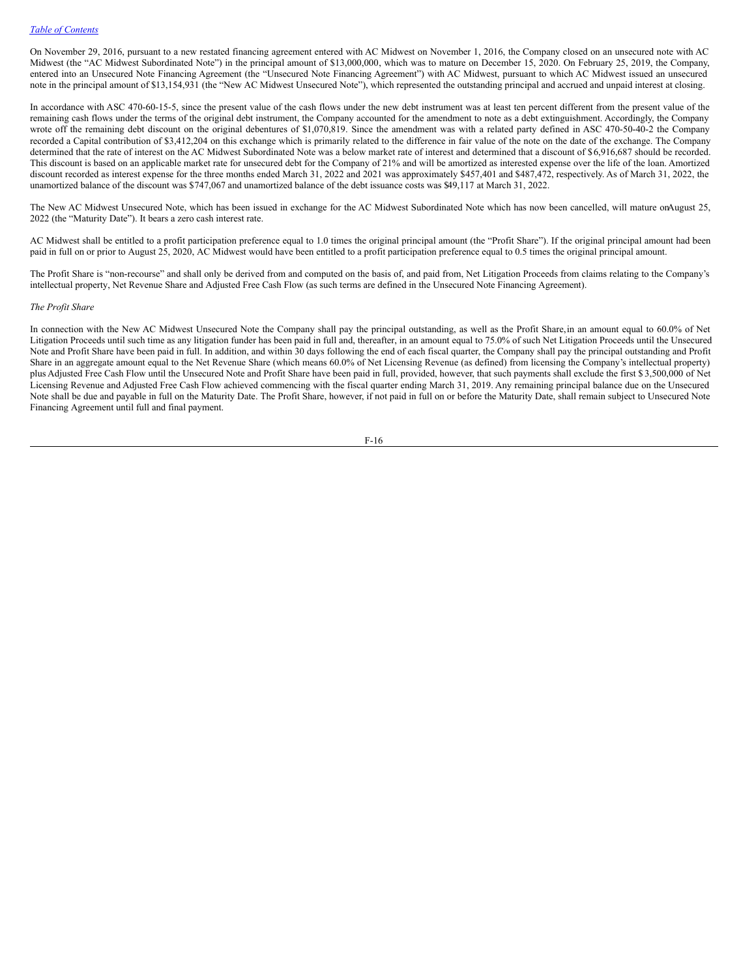On November 29, 2016, pursuant to a new restated financing agreement entered with AC Midwest on November 1, 2016, the Company closed on an unsecured note with AC Midwest (the "AC Midwest Subordinated Note") in the principal amount of \$13,000,000, which was to mature on December 15, 2020. On February 25, 2019, the Company, entered into an Unsecured Note Financing Agreement (the "Unsecured Note Financing Agreement") with AC Midwest, pursuant to which AC Midwest issued an unsecured note in the principal amount of \$13,154,931 (the "New AC Midwest Unsecured Note"), which represented the outstanding principal and accrued and unpaid interest at closing.

In accordance with ASC 470-60-15-5, since the present value of the cash flows under the new debt instrument was at least ten percent different from the present value of the remaining cash flows under the terms of the original debt instrument, the Company accounted for the amendment to note as a debt extinguishment. Accordingly, the Company wrote off the remaining debt discount on the original debentures of \$1,070,819. Since the amendment was with a related party defined in ASC 470-50-40-2 the Company recorded a Capital contribution of \$3,412,204 on this exchange which is primarily related to the difference in fair value of the note on the date of the exchange. The Company determined that the rate of interest on the AC Midwest Subordinated Note was a below market rate of interest and determined that a discount of \$6,916,687 should be recorded. This discount is based on an applicable market rate for unsecured debt for the Company of 21% and will be amortized as interested expense over the life of the loan. Amortized discount recorded as interest expense for the three months ended March 31, 2022 and 2021 was approximately \$457,401 and \$487,472, respectively. As of March 31, 2022, the unamortized balance of the discount was \$747,067 and unamortized balance of the debt issuance costs was \$49,117 at March 31, 2022.

The New AC Midwest Unsecured Note, which has been issued in exchange for the AC Midwest Subordinated Note which has now been cancelled, will mature onAugust 25, 2022 (the "Maturity Date"). It bears a zero cash interest rate.

AC Midwest shall be entitled to a profit participation preference equal to 1.0 times the original principal amount (the "Profit Share"). If the original principal amount had been paid in full on or prior to August 25, 2020, AC Midwest would have been entitled to a profit participation preference equal to 0.5 times the original principal amount.

The Profit Share is "non-recourse" and shall only be derived from and computed on the basis of, and paid from, Net Litigation Proceeds from claims relating to the Company's intellectual property, Net Revenue Share and Adjusted Free Cash Flow (as such terms are defined in the Unsecured Note Financing Agreement).

#### *The Profit Share*

In connection with the New AC Midwest Unsecured Note the Company shall pay the principal outstanding, as well as the Profit Share,in an amount equal to 60.0% of Net Litigation Proceeds until such time as any litigation funder has been paid in full and, thereafter, in an amount equal to 75.0% of such Net Litigation Proceeds until the Unsecured Note and Profit Share have been paid in full. In addition, and within 30 days following the end of each fiscal quarter, the Company shall pay the principal outstanding and Profit Share in an aggregate amount equal to the Net Revenue Share (which means 60.0% of Net Licensing Revenue (as defined) from licensing the Company's intellectual property) plus Adjusted Free Cash Flow until the Unsecured Note and Profit Share have been paid in full, provided, however, that such payments shall exclude the first \$ 3,500,000 of Net Licensing Revenue and Adjusted Free Cash Flow achieved commencing with the fiscal quarter ending March 31, 2019. Any remaining principal balance due on the Unsecured Note shall be due and payable in full on the Maturity Date. The Profit Share, however, if not paid in full on or before the Maturity Date, shall remain subject to Unsecured Note Financing Agreement until full and final payment.

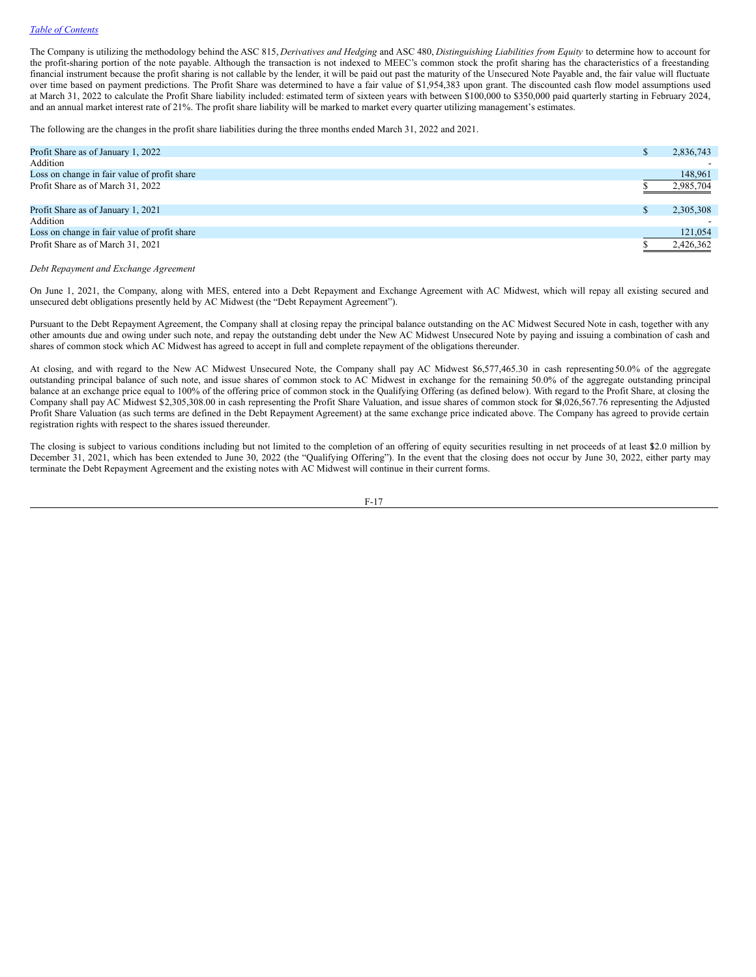The Company is utilizing the methodology behind the ASC 815, *Derivatives and Hedging* and ASC 480, *Distinguishing Liabilities from Equity* to determine how to account for the profit-sharing portion of the note payable. Although the transaction is not indexed to MEEC's common stock the profit sharing has the characteristics of a freestanding financial instrument because the profit sharing is not callable by the lender, it will be paid out past the maturity of the Unsecured Note Payable and, the fair value will fluctuate over time based on payment predictions. The Profit Share was determined to have a fair value of \$1,954,383 upon grant. The discounted cash flow model assumptions used at March 31, 2022 to calculate the Profit Share liability included: estimated term of sixteen years with between \$100,000 to \$350,000 paid quarterly starting in February 2024, and an annual market interest rate of 21%. The profit share liability will be marked to market every quarter utilizing management's estimates.

The following are the changes in the profit share liabilities during the three months ended March 31, 2022 and 2021.

| Profit Share as of January 1, 2022           | 2,836,743 |
|----------------------------------------------|-----------|
| Addition                                     |           |
| Loss on change in fair value of profit share | 148,961   |
| Profit Share as of March 31, 2022            | 2,985,704 |
|                                              |           |
| Profit Share as of January 1, 2021           | 2,305,308 |
| Addition                                     |           |
| Loss on change in fair value of profit share | 121,054   |
| Profit Share as of March 31, 2021            | 2,426,362 |
|                                              |           |

#### *Debt Repayment and Exchange Agreement*

On June 1, 2021, the Company, along with MES, entered into a Debt Repayment and Exchange Agreement with AC Midwest, which will repay all existing secured and unsecured debt obligations presently held by AC Midwest (the "Debt Repayment Agreement").

Pursuant to the Debt Repayment Agreement, the Company shall at closing repay the principal balance outstanding on the AC Midwest Secured Note in cash, together with any other amounts due and owing under such note, and repay the outstanding debt under the New AC Midwest Unsecured Note by paying and issuing a combination of cash and shares of common stock which AC Midwest has agreed to accept in full and complete repayment of the obligations thereunder.

At closing, and with regard to the New AC Midwest Unsecured Note, the Company shall pay AC Midwest \$6,577,465.30 in cash representing 50.0% of the aggregate outstanding principal balance of such note, and issue shares of common stock to AC Midwest in exchange for the remaining 50.0% of the aggregate outstanding principal balance at an exchange price equal to 100% of the offering price of common stock in the Qualifying Offering (as defined below). With regard to the Profit Share, at closing the Company shall pay AC Midwest \$2,305,308.00 in cash representing the Profit Share Valuation, and issue shares of common stock for \$4,026,567.76 representing the Adjusted Profit Share Valuation (as such terms are defined in the Debt Repayment Agreement) at the same exchange price indicated above. The Company has agreed to provide certain registration rights with respect to the shares issued thereunder.

The closing is subject to various conditions including but not limited to the completion of an offering of equity securities resulting in net proceeds of at least \$2.0 million by December 31, 2021, which has been extended to June 30, 2022 (the "Qualifying Offering"). In the event that the closing does not occur by June 30, 2022, either party may terminate the Debt Repayment Agreement and the existing notes with AC Midwest will continue in their current forms.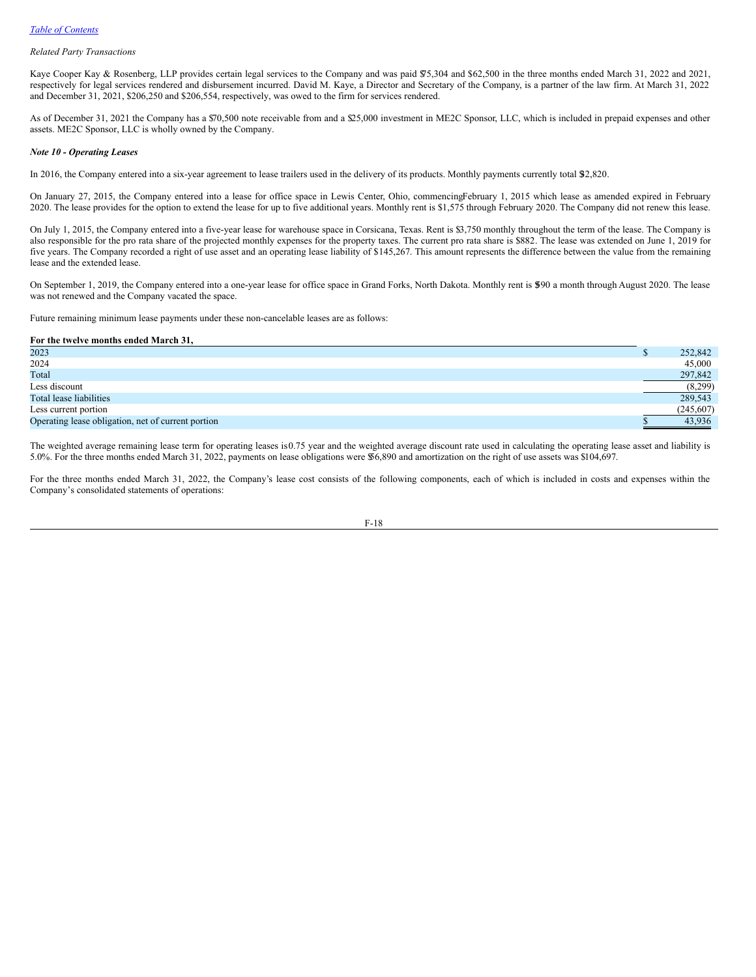### *Related Party Transactions*

Kaye Cooper Kay & Rosenberg, LLP provides certain legal services to the Company and was paid \$75,304 and \$62,500 in the three months ended March 31, 2022 and 2021, respectively for legal services rendered and disbursement incurred. David M. Kaye, a Director and Secretary of the Company, is a partner of the law firm. At March 31, 2022 and December 31, 2021, \$206,250 and \$206,554, respectively, was owed to the firm for services rendered.

As of December 31, 2021 the Company has a \$70,500 note receivable from and a \$25,000 investment in ME2C Sponsor, LLC, which is included in prepaid expenses and other assets. ME2C Sponsor, LLC is wholly owned by the Company.

#### *Note 10 - Operating Leases*

In 2016, the Company entered into a six-year agreement to lease trailers used in the delivery of its products. Monthly payments currently total \$32,820.

On January 27, 2015, the Company entered into a lease for office space in Lewis Center, Ohio, commencingFebruary 1, 2015 which lease as amended expired in February 2020. The lease provides for the option to extend the lease for up to five additional years. Monthly rent is \$1,575 through February 2020. The Company did not renew this lease.

On July 1, 2015, the Company entered into a five-year lease for warehouse space in Corsicana, Texas. Rent is \$3,750 monthly throughout the term of the lease. The Company is also responsible for the pro rata share of the projected monthly expenses for the property taxes. The current pro rata share is \$882. The lease was extended on June 1, 2019 for five years. The Company recorded a right of use asset and an operating lease liability of \$145,267. This amount represents the difference between the value from the remaining lease and the extended lease.

On September 1, 2019, the Company entered into a one-year lease for office space in Grand Forks, North Dakota. Monthly rent is \$590 a month through August 2020. The lease was not renewed and the Company vacated the space.

Future remaining minimum lease payments under these non-cancelable leases are as follows:

#### **For the twelve months ended March 31,**

| 2023                                               | 252,842    |
|----------------------------------------------------|------------|
| 2024                                               | 45,000     |
| Total                                              | 297,842    |
| Less discount                                      | (8,299)    |
| Total lease liabilities                            | 289,543    |
| Less current portion                               | (245, 607) |
| Operating lease obligation, net of current portion | 43.936     |

The weighted average remaining lease term for operating leases is0.75 year and the weighted average discount rate used in calculating the operating lease asset and liability is 5.0%. For the three months ended March 31, 2022, payments on lease obligations were \$56,890 and amortization on the right of use assets was \$104,697.

For the three months ended March 31, 2022, the Company's lease cost consists of the following components, each of which is included in costs and expenses within the Company's consolidated statements of operations:

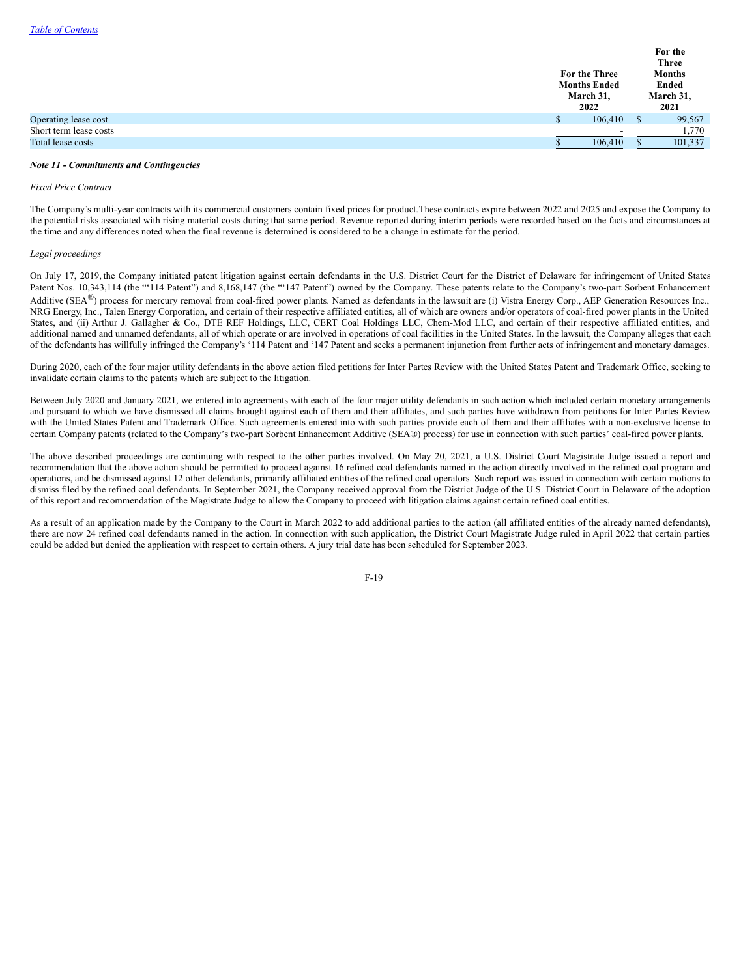|                        | For the Three<br><b>Months Ended</b><br>March 31,<br>2022 |         | <b>Three</b><br><b>Months</b><br>Ended<br>March 31,<br>2021 |         |
|------------------------|-----------------------------------------------------------|---------|-------------------------------------------------------------|---------|
| Operating lease cost   |                                                           | 106,410 |                                                             | 99,567  |
| Short term lease costs |                                                           |         |                                                             | 1,770   |
| Total lease costs      |                                                           | 106,410 |                                                             | 101,337 |

**For the**

#### *Note 11 - Commitments and Contingencies*

#### *Fixed Price Contract*

The Company's multi-year contracts with its commercial customers contain fixed prices for product.These contracts expire between 2022 and 2025 and expose the Company to the potential risks associated with rising material costs during that same period. Revenue reported during interim periods were recorded based on the facts and circumstances at the time and any differences noted when the final revenue is determined is considered to be a change in estimate for the period.

#### *Legal proceedings*

On July 17, 2019, the Company initiated patent litigation against certain defendants in the U.S. District Court for the District of Delaware for infringement of United States Patent Nos. 10,343,114 (the "'114 Patent") and 8,168,147 (the "'147 Patent") owned by the Company. These patents relate to the Company's two-part Sorbent Enhancement Additive (SEA<sup>®</sup>) process for mercury removal from coal-fired power plants. Named as defendants in the lawsuit are (i) Vistra Energy Corp., AEP Generation Resources Inc., NRG Energy, Inc., Talen Energy Corporation, and certain of their respective affiliated entities, all of which are owners and/or operators of coal-fired power plants in the United States, and (ii) Arthur J. Gallagher & Co., DTE REF Holdings, LLC, CERT Coal Holdings LLC, Chem-Mod LLC, and certain of their respective affiliated entities, and additional named and unnamed defendants, all of which operate or are involved in operations of coal facilities in the United States. In the lawsuit, the Company alleges that each of the defendants has willfully infringed the Company's '114 Patent and '147 Patent and seeks a permanent injunction from further acts of infringement and monetary damages.

During 2020, each of the four major utility defendants in the above action filed petitions for Inter Partes Review with the United States Patent and Trademark Office, seeking to invalidate certain claims to the patents which are subject to the litigation.

Between July 2020 and January 2021, we entered into agreements with each of the four major utility defendants in such action which included certain monetary arrangements and pursuant to which we have dismissed all claims brought against each of them and their affiliates, and such parties have withdrawn from petitions for Inter Partes Review with the United States Patent and Trademark Office. Such agreements entered into with such parties provide each of them and their affiliates with a non-exclusive license to certain Company patents (related to the Company's two-part Sorbent Enhancement Additive (SEA®) process) for use in connection with such parties' coal-fired power plants.

The above described proceedings are continuing with respect to the other parties involved. On May 20, 2021, a U.S. District Court Magistrate Judge issued a report and recommendation that the above action should be permitted to proceed against 16 refined coal defendants named in the action directly involved in the refined coal program and operations, and be dismissed against 12 other defendants, primarily affiliated entities of the refined coal operators. Such report was issued in connection with certain motions to dismiss filed by the refined coal defendants. In September 2021, the Company received approval from the District Judge of the U.S. District Court in Delaware of the adoption of this report and recommendation of the Magistrate Judge to allow the Company to proceed with litigation claims against certain refined coal entities.

As a result of an application made by the Company to the Court in March 2022 to add additional parties to the action (all affiliated entities of the already named defendants), there are now 24 refined coal defendants named in the action. In connection with such application, the District Court Magistrate Judge ruled in April 2022 that certain parties could be added but denied the application with respect to certain others. A jury trial date has been scheduled for September 2023.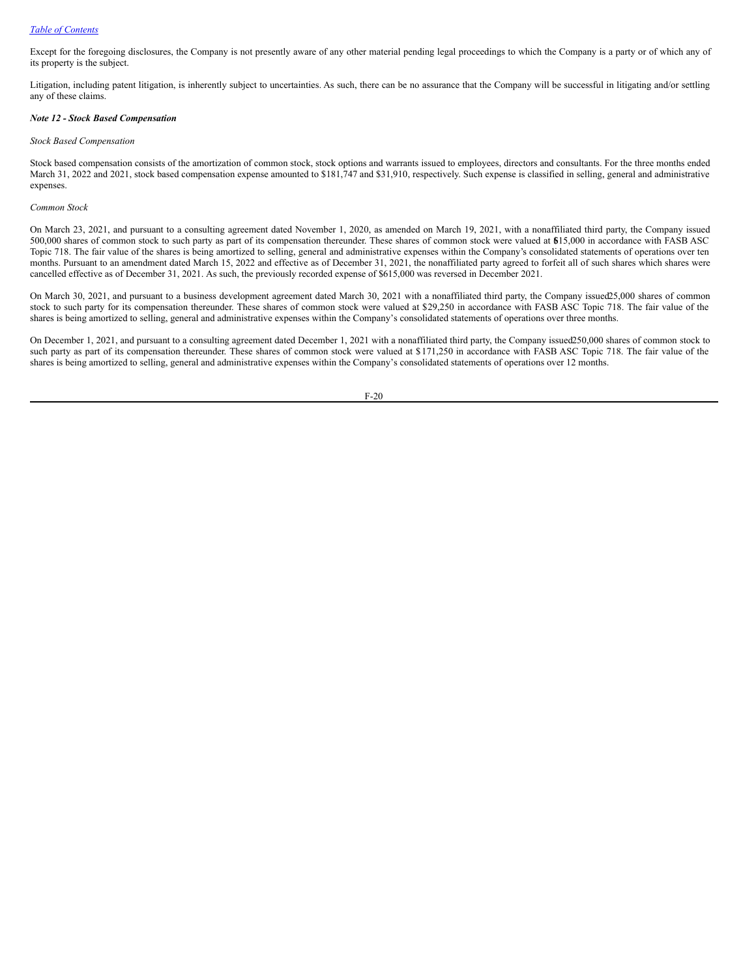### *Table of [Contents](#page-3-1)*

Except for the foregoing disclosures, the Company is not presently aware of any other material pending legal proceedings to which the Company is a party or of which any of its property is the subject.

Litigation, including patent litigation, is inherently subject to uncertainties. As such, there can be no assurance that the Company will be successful in litigating and/or settling any of these claims.

### *Note 12 - Stock Based Compensation*

### *Stock Based Compensation*

Stock based compensation consists of the amortization of common stock, stock options and warrants issued to employees, directors and consultants. For the three months ended March 31, 2022 and 2021, stock based compensation expense amounted to \$181,747 and \$31,910, respectively. Such expense is classified in selling, general and administrative expenses.

#### *Common Stock*

On March 23, 2021, and pursuant to a consulting agreement dated November 1, 2020, as amended on March 19, 2021, with a nonaffiliated third party, the Company issued 500,000 shares of common stock to such party as part of its compensation thereunder. These shares of common stock were valued at \$615,000 in accordance with FASB ASC Topic 718. The fair value of the shares is being amortized to selling, general and administrative expenses within the Company's consolidated statements of operations over ten months. Pursuant to an amendment dated March 15, 2022 and effective as of December 31, 2021, the nonaffiliated party agreed to forfeit all of such shares which shares were cancelled effective as of December 31, 2021. As such, the previously recorded expense of \$615,000 was reversed in December 2021.

On March 30, 2021, and pursuant to a business development agreement dated March 30, 2021 with a nonaffiliated third party, the Company issued25,000 shares of common stock to such party for its compensation thereunder. These shares of common stock were valued at \$29,250 in accordance with FASB ASC Topic 718. The fair value of the shares is being amortized to selling, general and administrative expenses within the Company's consolidated statements of operations over three months.

On December 1, 2021, and pursuant to a consulting agreement dated December 1, 2021 with a nonaffiliated third party, the Company issued250,000 shares of common stock to such party as part of its compensation thereunder. These shares of common stock were valued at \$171,250 in accordance with FASB ASC Topic 718. The fair value of the shares is being amortized to selling, general and administrative expenses within the Company's consolidated statements of operations over 12 months.

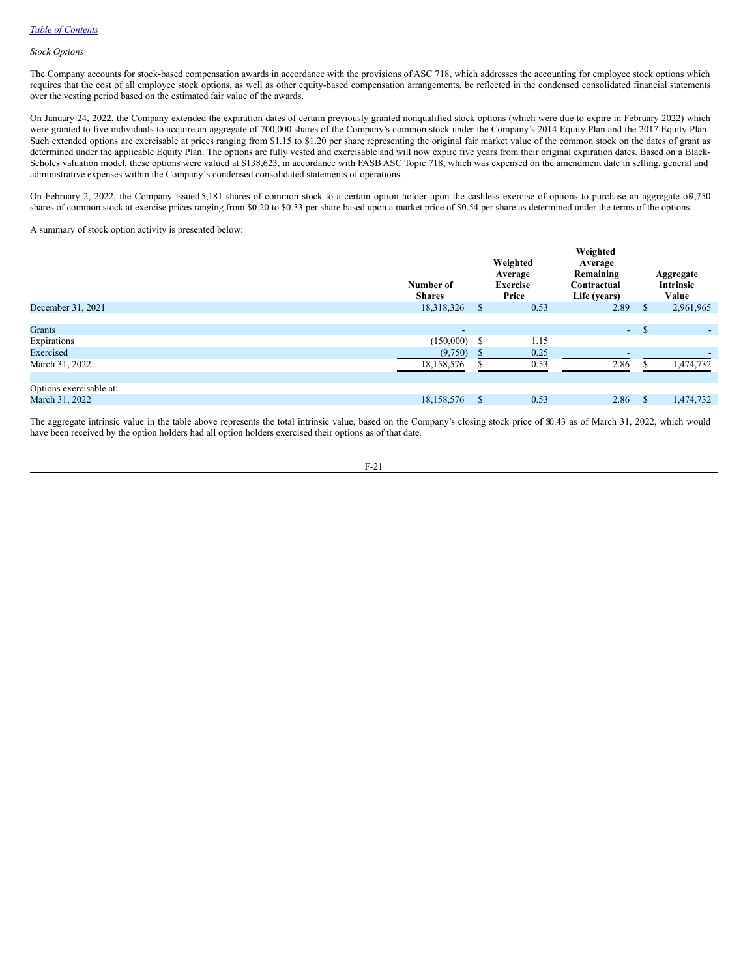### *Stock Options*

The Company accounts for stock-based compensation awards in accordance with the provisions of ASC 718, which addresses the accounting for employee stock options which requires that the cost of all employee stock options, as well as other equity-based compensation arrangements, be reflected in the condensed consolidated financial statements over the vesting period based on the estimated fair value of the awards.

On January 24, 2022, the Company extended the expiration dates of certain previously granted nonqualified stock options (which were due to expire in February 2022) which were granted to five individuals to acquire an aggregate of 700,000 shares of the Company's common stock under the Company's 2014 Equity Plan and the 2017 Equity Plan. Such extended options are exercisable at prices ranging from \$1.15 to \$1.20 per share representing the original fair market value of the common stock on the dates of grant as determined under the applicable Equity Plan. The options are fully vested and exercisable and will now expire five years from their original expiration dates. Based on a Black-Scholes valuation model, these options were valued at \$138,623, in accordance with FASB ASC Topic 718, which was expensed on the amendment date in selling, general and administrative expenses within the Company's condensed consolidated statements of operations.

On February 2, 2022, the Company issued 5,181 shares of common stock to a certain option holder upon the cashless exercise of options to purchase an aggregate of 9,750 shares of common stock at exercise prices ranging from \$0.20 to \$0.33 per share based upon a market price of \$0.54 per share as determined under the terms of the options.

A summary of stock option activity is presented below:

|                         | Number of<br><b>Shares</b> |               | Weighted<br>Average<br><b>Exercise</b><br>Price | Weighted<br>Average<br>Remaining<br>Contractual<br>Life (years) |              | Aggregate<br><b>Intrinsic</b><br>Value |
|-------------------------|----------------------------|---------------|-------------------------------------------------|-----------------------------------------------------------------|--------------|----------------------------------------|
| December 31, 2021       | 18,318,326                 |               | 0.53                                            | 2.89                                                            | \$           | 2,961,965                              |
| Grants                  | $\overline{\phantom{0}}$   |               |                                                 | $\Delta \sim 10$                                                | <sup>S</sup> |                                        |
| Expirations             | (150,000)                  | S             | 1.15                                            |                                                                 |              |                                        |
| Exercised               | (9,750)                    | ъ             | 0.25                                            |                                                                 |              |                                        |
| March 31, 2022          | 18,158,576                 |               | 0.53                                            | 2.86                                                            |              | 1,474,732                              |
| Options exercisable at: |                            |               |                                                 |                                                                 |              |                                        |
| March 31, 2022          | 18,158,576                 | <sup>\$</sup> | 0.53                                            | 2.86                                                            | -S           | 1,474,732                              |

The aggregate intrinsic value in the table above represents the total intrinsic value, based on the Company's closing stock price of \$0.43 as of March 31, 2022, which would have been received by the option holders had all option holders exercised their options as of that date.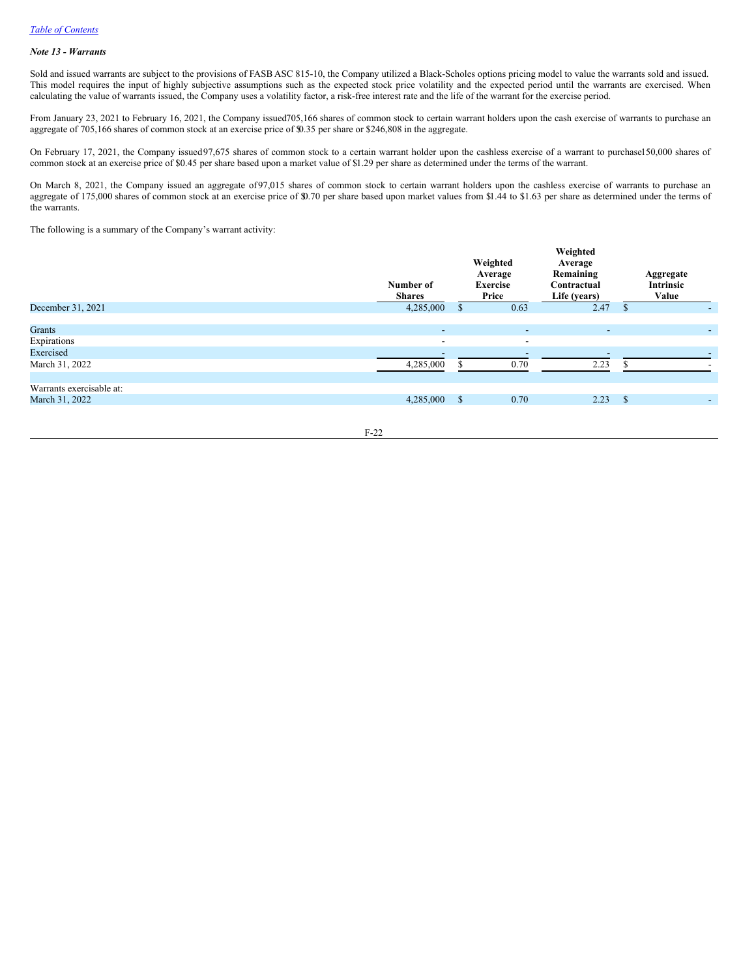### *Note 13 - Warrants*

Sold and issued warrants are subject to the provisions of FASB ASC 815-10, the Company utilized a Black-Scholes options pricing model to value the warrants sold and issued. This model requires the input of highly subjective assumptions such as the expected stock price volatility and the expected period until the warrants are exercised. When calculating the value of warrants issued, the Company uses a volatility factor, a risk-free interest rate and the life of the warrant for the exercise period.

From January 23, 2021 to February 16, 2021, the Company issued705,166 shares of common stock to certain warrant holders upon the cash exercise of warrants to purchase an aggregate of 705,166 shares of common stock at an exercise price of \$0.35 per share or \$246,808 in the aggregate.

On February 17, 2021, the Company issued 97,675 shares of common stock to a certain warrant holder upon the cashless exercise of a warrant to purchase150,000 shares of common stock at an exercise price of \$0.45 per share based upon a market value of \$1.29 per share as determined under the terms of the warrant.

On March 8, 2021, the Company issued an aggregate of97,015 shares of common stock to certain warrant holders upon the cashless exercise of warrants to purchase an aggregate of 175,000 shares of common stock at an exercise price of \$0.70 per share based upon market values from \$1.44 to \$1.63 per share as determined under the terms of the warrants.

The following is a summary of the Company's warrant activity:

|                          | Number of<br><b>Shares</b>                           | Weighted<br>Average<br><b>Exercise</b><br>Price | Weighted<br>Average<br>Remaining<br>Contractual<br>Life (years) |              | Aggregate<br>Intrinsic<br>Value |                          |
|--------------------------|------------------------------------------------------|-------------------------------------------------|-----------------------------------------------------------------|--------------|---------------------------------|--------------------------|
| December 31, 2021        | 4,285,000                                            | 0.63                                            | 2.47                                                            |              |                                 | $\overline{\phantom{0}}$ |
| Grants<br>Expirations    | $\overline{\phantom{a}}$<br>$\overline{\phantom{a}}$ | $\overline{\phantom{a}}$                        | $\overline{\phantom{a}}$                                        |              |                                 | $\overline{\phantom{0}}$ |
| Exercised                |                                                      | $\overline{\phantom{a}}$                        |                                                                 |              |                                 |                          |
| March 31, 2022           | 4,285,000                                            | 0.70                                            | 2.23                                                            |              |                                 |                          |
| Warrants exercisable at: |                                                      |                                                 |                                                                 |              |                                 |                          |
| March 31, 2022           | $4,285,000$ \$                                       | 0.70                                            | 2.23                                                            | $\mathbf{s}$ |                                 | $\overline{\phantom{0}}$ |
|                          |                                                      |                                                 |                                                                 |              |                                 |                          |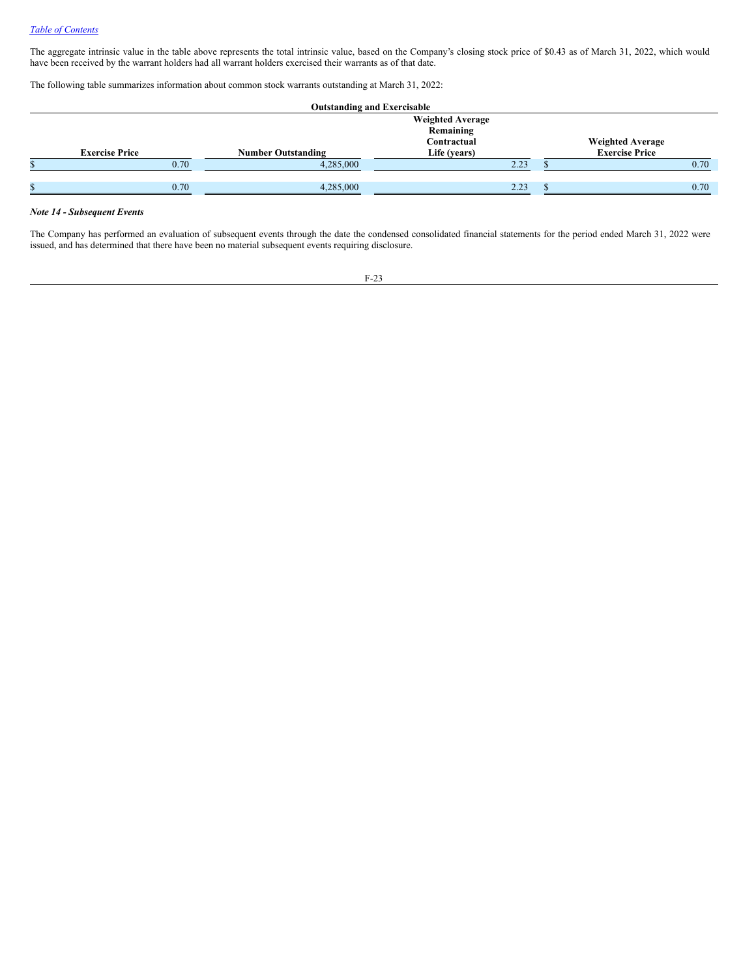The aggregate intrinsic value in the table above represents the total intrinsic value, based on the Company's closing stock price of \$0.43 as of March 31, 2022, which would have been received by the warrant holders had all warrant holders exercised their warrants as of that date.

The following table summarizes information about common stock warrants outstanding at March 31, 2022:

| <b>Outstanding and Exercisable</b> |                       |                           |                                                     |  |                         |  |  |
|------------------------------------|-----------------------|---------------------------|-----------------------------------------------------|--|-------------------------|--|--|
|                                    |                       |                           | <b>Weighted Average</b><br>Remaining<br>Contractual |  | <b>Weighted Average</b> |  |  |
|                                    | <b>Exercise Price</b> | <b>Number Outstanding</b> | Life (years)                                        |  | <b>Exercise Price</b>   |  |  |
|                                    | 0.70                  | 4,285,000                 | 2.23                                                |  | 0.70                    |  |  |
| ፍ                                  | 0.70                  | 4,285,000                 | 2.23                                                |  | 0.70                    |  |  |

### *Note 14 - Subsequent Events*

The Company has performed an evaluation of subsequent events through the date the condensed consolidated financial statements for the period ended March 31, 2022 were issued, and has determined that there have been no material subsequent events requiring disclosure.

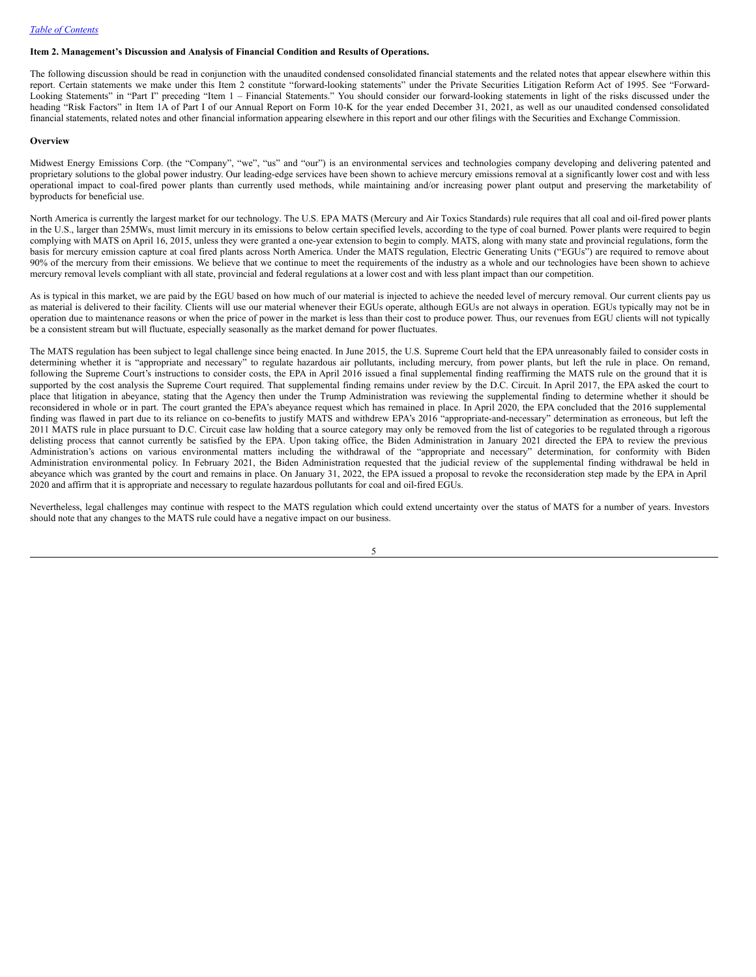### <span id="page-27-0"></span>**Item 2. Management's Discussion and Analysis of Financial Condition and Results of Operations.**

The following discussion should be read in conjunction with the unaudited condensed consolidated financial statements and the related notes that appear elsewhere within this report. Certain statements we make under this Item 2 constitute "forward-looking statements" under the Private Securities Litigation Reform Act of 1995. See "Forward-Looking Statements" in "Part I" preceding "Item 1 – Financial Statements." You should consider our forward-looking statements in light of the risks discussed under the heading "Risk Factors" in Item 1A of Part I of our Annual Report on Form 10-K for the year ended December 31, 2021, as well as our unaudited condensed consolidated financial statements, related notes and other financial information appearing elsewhere in this report and our other filings with the Securities and Exchange Commission.

#### **Overview**

Midwest Energy Emissions Corp. (the "Company", "we", "us" and "our") is an environmental services and technologies company developing and delivering patented and proprietary solutions to the global power industry. Our leading-edge services have been shown to achieve mercury emissions removal at a significantly lower cost and with less operational impact to coal-fired power plants than currently used methods, while maintaining and/or increasing power plant output and preserving the marketability of byproducts for beneficial use.

North America is currently the largest market for our technology. The U.S. EPA MATS (Mercury and Air Toxics Standards) rule requires that all coal and oil-fired power plants in the U.S., larger than 25MWs, must limit mercury in its emissions to below certain specified levels, according to the type of coal burned. Power plants were required to begin complying with MATS on April 16, 2015, unless they were granted a one-year extension to begin to comply. MATS, along with many state and provincial regulations, form the basis for mercury emission capture at coal fired plants across North America. Under the MATS regulation, Electric Generating Units ("EGUs") are required to remove about 90% of the mercury from their emissions. We believe that we continue to meet the requirements of the industry as a whole and our technologies have been shown to achieve mercury removal levels compliant with all state, provincial and federal regulations at a lower cost and with less plant impact than our competition.

As is typical in this market, we are paid by the EGU based on how much of our material is injected to achieve the needed level of mercury removal. Our current clients pay us as material is delivered to their facility. Clients will use our material whenever their EGUs operate, although EGUs are not always in operation. EGUs typically may not be in operation due to maintenance reasons or when the price of power in the market is less than their cost to produce power. Thus, our revenues from EGU clients will not typically be a consistent stream but will fluctuate, especially seasonally as the market demand for power fluctuates.

The MATS regulation has been subject to legal challenge since being enacted. In June 2015, the U.S. Supreme Court held that the EPA unreasonably failed to consider costs in determining whether it is "appropriate and necessary" to regulate hazardous air pollutants, including mercury, from power plants, but left the rule in place. On remand, following the Supreme Court's instructions to consider costs, the EPA in April 2016 issued a final supplemental finding reaffirming the MATS rule on the ground that it is supported by the cost analysis the Supreme Court required. That supplemental finding remains under review by the D.C. Circuit. In April 2017, the EPA asked the court to place that litigation in abeyance, stating that the Agency then under the Trump Administration was reviewing the supplemental finding to determine whether it should be reconsidered in whole or in part. The court granted the EPA's abeyance request which has remained in place. In April 2020, the EPA concluded that the 2016 supplemental finding was flawed in part due to its reliance on co-benefits to justify MATS and withdrew EPA's 2016 "appropriate-and-necessary" determination as erroneous, but left the 2011 MATS rule in place pursuant to D.C. Circuit case law holding that a source category may only be removed from the list of categories to be regulated through a rigorous delisting process that cannot currently be satisfied by the EPA. Upon taking office, the Biden Administration in January 2021 directed the EPA to review the previous Administration's actions on various environmental matters including the withdrawal of the "appropriate and necessary" determination, for conformity with Biden Administration environmental policy. In February 2021, the Biden Administration requested that the judicial review of the supplemental finding withdrawal be held in abeyance which was granted by the court and remains in place. On January 31, 2022, the EPA issued a proposal to revoke the reconsideration step made by the EPA in April 2020 and affirm that it is appropriate and necessary to regulate hazardous pollutants for coal and oil-fired EGUs.

Nevertheless, legal challenges may continue with respect to the MATS regulation which could extend uncertainty over the status of MATS for a number of years. Investors should note that any changes to the MATS rule could have a negative impact on our business.

| I |  |
|---|--|
| I |  |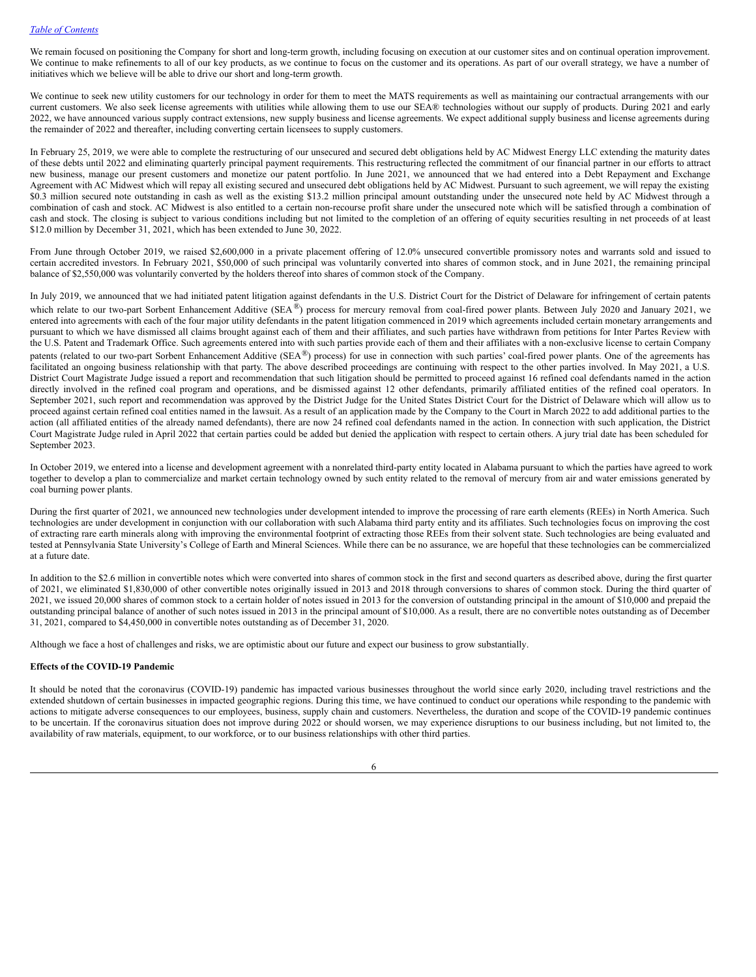We remain focused on positioning the Company for short and long-term growth, including focusing on execution at our customer sites and on continual operation improvement. We continue to make refinements to all of our key products, as we continue to focus on the customer and its operations. As part of our overall strategy, we have a number of initiatives which we believe will be able to drive our short and long-term growth.

We continue to seek new utility customers for our technology in order for them to meet the MATS requirements as well as maintaining our contractual arrangements with our current customers. We also seek license agreements with utilities while allowing them to use our SEA® technologies without our supply of products. During 2021 and early 2022, we have announced various supply contract extensions, new supply business and license agreements. We expect additional supply business and license agreements during the remainder of 2022 and thereafter, including converting certain licensees to supply customers.

In February 25, 2019, we were able to complete the restructuring of our unsecured and secured debt obligations held by AC Midwest Energy LLC extending the maturity dates of these debts until 2022 and eliminating quarterly principal payment requirements. This restructuring reflected the commitment of our financial partner in our efforts to attract new business, manage our present customers and monetize our patent portfolio. In June 2021, we announced that we had entered into a Debt Repayment and Exchange Agreement with AC Midwest which will repay all existing secured and unsecured debt obligations held by AC Midwest. Pursuant to such agreement, we will repay the existing \$0.3 million secured note outstanding in cash as well as the existing \$13.2 million principal amount outstanding under the unsecured note held by AC Midwest through a combination of cash and stock. AC Midwest is also entitled to a certain non-recourse profit share under the unsecured note which will be satisfied through a combination of cash and stock. The closing is subject to various conditions including but not limited to the completion of an offering of equity securities resulting in net proceeds of at least \$12.0 million by December 31, 2021, which has been extended to June 30, 2022.

From June through October 2019, we raised \$2,600,000 in a private placement offering of 12.0% unsecured convertible promissory notes and warrants sold and issued to certain accredited investors. In February 2021, \$50,000 of such principal was voluntarily converted into shares of common stock, and in June 2021, the remaining principal balance of \$2,550,000 was voluntarily converted by the holders thereof into shares of common stock of the Company.

In July 2019, we announced that we had initiated patent litigation against defendants in the U.S. District Court for the District of Delaware for infringement of certain patents which relate to our two-part Sorbent Enhancement Additive (SEA®) process for mercury removal from coal-fired power plants. Between July 2020 and January 2021, we entered into agreements with each of the four major utility defendants in the patent litigation commenced in 2019 which agreements included certain monetary arrangements and pursuant to which we have dismissed all claims brought against each of them and their affiliates, and such parties have withdrawn from petitions for Inter Partes Review with the U.S. Patent and Trademark Office. Such agreements entered into with such parties provide each of them and their affiliates with a non-exclusive license to certain Company patents (related to our two-part Sorbent Enhancement Additive (SEA®) process) for use in connection with such parties' coal-fired power plants. One of the agreements has facilitated an ongoing business relationship with that party. The above described proceedings are continuing with respect to the other parties involved. In May 2021, a U.S. District Court Magistrate Judge issued a report and recommendation that such litigation should be permitted to proceed against 16 refined coal defendants named in the action directly involved in the refined coal program and operations, and be dismissed against 12 other defendants, primarily affiliated entities of the refined coal operators. In September 2021, such report and recommendation was approved by the District Judge for the United States District Court for the District of Delaware which will allow us to proceed against certain refined coal entities named in the lawsuit. As a result of an application made by the Company to the Court in March 2022 to add additional parties to the action (all affiliated entities of the already named defendants), there are now 24 refined coal defendants named in the action. In connection with such application, the District Court Magistrate Judge ruled in April 2022 that certain parties could be added but denied the application with respect to certain others. A jury trial date has been scheduled for September 2023.

In October 2019, we entered into a license and development agreement with a nonrelated third-party entity located in Alabama pursuant to which the parties have agreed to work together to develop a plan to commercialize and market certain technology owned by such entity related to the removal of mercury from air and water emissions generated by coal burning power plants.

During the first quarter of 2021, we announced new technologies under development intended to improve the processing of rare earth elements (REEs) in North America. Such technologies are under development in conjunction with our collaboration with such Alabama third party entity and its affiliates. Such technologies focus on improving the cost of extracting rare earth minerals along with improving the environmental footprint of extracting those REEs from their solvent state. Such technologies are being evaluated and tested at Pennsylvania State University's College of Earth and Mineral Sciences. While there can be no assurance, we are hopeful that these technologies can be commercialized at a future date.

In addition to the \$2.6 million in convertible notes which were converted into shares of common stock in the first and second quarters as described above, during the first quarter of 2021, we eliminated \$1,830,000 of other convertible notes originally issued in 2013 and 2018 through conversions to shares of common stock. During the third quarter of 2021, we issued 20,000 shares of common stock to a certain holder of notes issued in 2013 for the conversion of outstanding principal in the amount of \$10,000 and prepaid the outstanding principal balance of another of such notes issued in 2013 in the principal amount of \$10,000. As a result, there are no convertible notes outstanding as of December 31, 2021, compared to \$4,450,000 in convertible notes outstanding as of December 31, 2020.

Although we face a host of challenges and risks, we are optimistic about our future and expect our business to grow substantially.

### **Effects of the COVID-19 Pandemic**

It should be noted that the coronavirus (COVID-19) pandemic has impacted various businesses throughout the world since early 2020, including travel restrictions and the extended shutdown of certain businesses in impacted geographic regions. During this time, we have continued to conduct our operations while responding to the pandemic with actions to mitigate adverse consequences to our employees, business, supply chain and customers. Nevertheless, the duration and scope of the COVID-19 pandemic continues to be uncertain. If the coronavirus situation does not improve during 2022 or should worsen, we may experience disruptions to our business including, but not limited to, the availability of raw materials, equipment, to our workforce, or to our business relationships with other third parties.

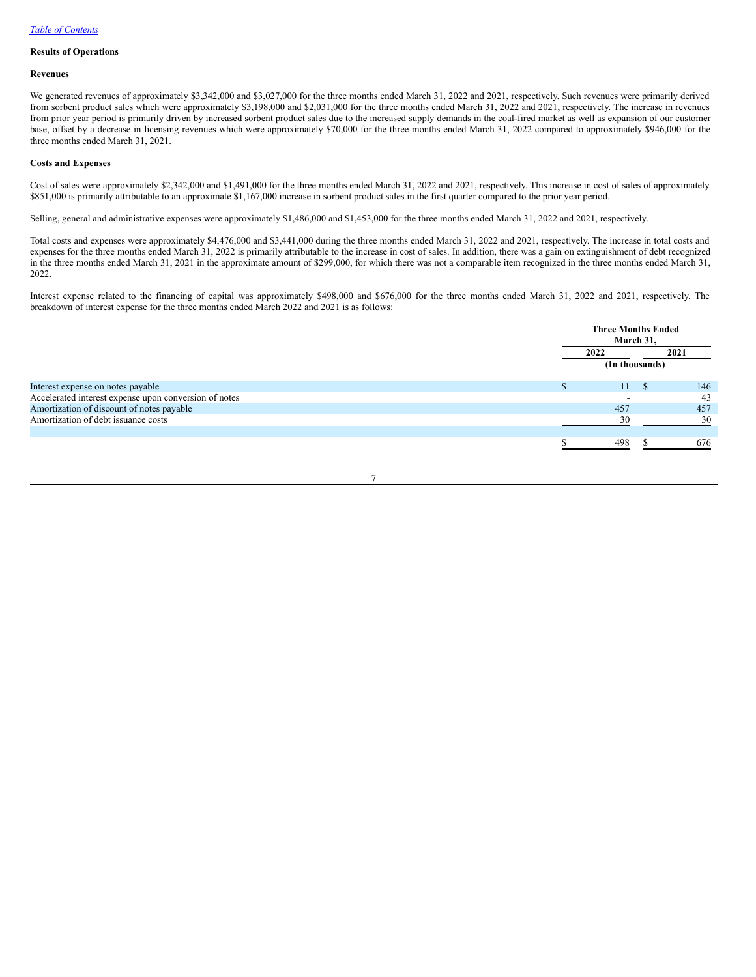### **Results of Operations**

#### **Revenues**

We generated revenues of approximately \$3,342,000 and \$3,027,000 for the three months ended March 31, 2022 and 2021, respectively. Such revenues were primarily derived from sorbent product sales which were approximately \$3,198,000 and \$2,031,000 for the three months ended March 31, 2022 and 2021, respectively. The increase in revenues from prior year period is primarily driven by increased sorbent product sales due to the increased supply demands in the coal-fired market as well as expansion of our customer base, offset by a decrease in licensing revenues which were approximately \$70,000 for the three months ended March 31, 2022 compared to approximately \$946,000 for the three months ended March 31, 2021.

### **Costs and Expenses**

Cost of sales were approximately \$2,342,000 and \$1,491,000 for the three months ended March 31, 2022 and 2021, respectively. This increase in cost of sales of approximately \$851,000 is primarily attributable to an approximate \$1,167,000 increase in sorbent product sales in the first quarter compared to the prior year period.

Selling, general and administrative expenses were approximately \$1,486,000 and \$1,453,000 for the three months ended March 31, 2022 and 2021, respectively.

Total costs and expenses were approximately \$4,476,000 and \$3,441,000 during the three months ended March 31, 2022 and 2021, respectively. The increase in total costs and expenses for the three months ended March 31, 2022 is primarily attributable to the increase in cost of sales. In addition, there was a gain on extinguishment of debt recognized in the three months ended March 31, 2021 in the approximate amount of \$299,000, for which there was not a comparable item recognized in the three months ended March 31, 2022.

Interest expense related to the financing of capital was approximately \$498,000 and \$676,000 for the three months ended March 31, 2022 and 2021, respectively. The breakdown of interest expense for the three months ended March 2022 and 2021 is as follows:

|                                                       |      | <b>Three Months Ended</b><br>March 31, |
|-------------------------------------------------------|------|----------------------------------------|
|                                                       | 2022 | 2021                                   |
|                                                       |      | (In thousands)                         |
| Interest expense on notes payable                     | 11   | 146                                    |
| Accelerated interest expense upon conversion of notes |      | 43                                     |
| Amortization of discount of notes payable             | 457  | 457                                    |
| Amortization of debt issuance costs                   | 30   | 30                                     |
|                                                       |      |                                        |
|                                                       | 498  | 676                                    |

#### 7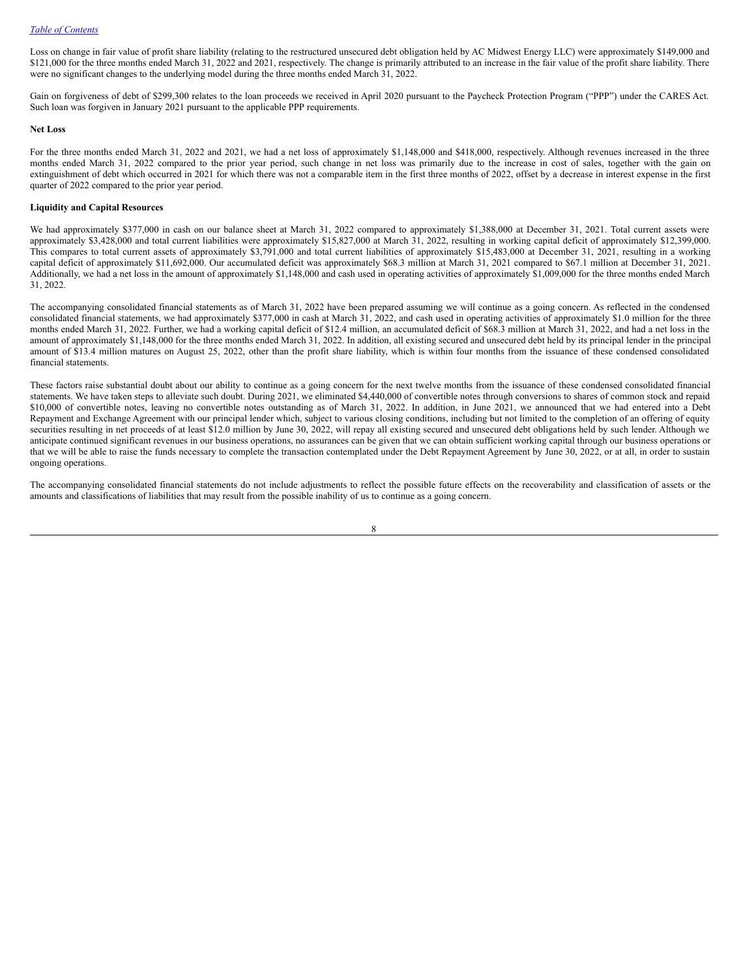Loss on change in fair value of profit share liability (relating to the restructured unsecured debt obligation held by AC Midwest Energy LLC) were approximately \$149,000 and \$121,000 for the three months ended March 31, 2022 and 2021, respectively. The change is primarily attributed to an increase in the fair value of the profit share liability. There were no significant changes to the underlying model during the three months ended March 31, 2022.

Gain on forgiveness of debt of \$299,300 relates to the loan proceeds we received in April 2020 pursuant to the Paycheck Protection Program ("PPP") under the CARES Act. Such loan was forgiven in January 2021 pursuant to the applicable PPP requirements.

#### **Net Loss**

For the three months ended March 31, 2022 and 2021, we had a net loss of approximately \$1,148,000 and \$418,000, respectively. Although revenues increased in the three months ended March 31, 2022 compared to the prior year period, such change in net loss was primarily due to the increase in cost of sales, together with the gain on extinguishment of debt which occurred in 2021 for which there was not a comparable item in the first three months of 2022, offset by a decrease in interest expense in the first quarter of 2022 compared to the prior year period.

#### **Liquidity and Capital Resources**

We had approximately \$377,000 in cash on our balance sheet at March 31, 2022 compared to approximately \$1,388,000 at December 31, 2021. Total current assets were approximately \$3,428,000 and total current liabilities were approximately \$15,827,000 at March 31, 2022, resulting in working capital deficit of approximately \$12,399,000. This compares to total current assets of approximately \$3,791,000 and total current liabilities of approximately \$15,483,000 at December 31, 2021, resulting in a working capital deficit of approximately \$11,692,000. Our accumulated deficit was approximately \$68.3 million at March 31, 2021 compared to \$67.1 million at December 31, 2021. Additionally, we had a net loss in the amount of approximately \$1,148,000 and cash used in operating activities of approximately \$1,009,000 for the three months ended March 31, 2022.

The accompanying consolidated financial statements as of March 31, 2022 have been prepared assuming we will continue as a going concern. As reflected in the condensed consolidated financial statements, we had approximately \$377,000 in cash at March 31, 2022, and cash used in operating activities of approximately \$1.0 million for the three months ended March 31, 2022. Further, we had a working capital deficit of \$12.4 million, an accumulated deficit of \$68.3 million at March 31, 2022, and had a net loss in the amount of approximately \$1,148,000 for the three months ended March 31, 2022. In addition, all existing secured and unsecured debt held by its principal lender in the principal amount of \$13.4 million matures on August 25, 2022, other than the profit share liability, which is within four months from the issuance of these condensed consolidated financial statements.

These factors raise substantial doubt about our ability to continue as a going concern for the next twelve months from the issuance of these condensed consolidated financial statements. We have taken steps to alleviate such doubt. During 2021, we eliminated \$4,440,000 of convertible notes through conversions to shares of common stock and repaid \$10,000 of convertible notes, leaving no convertible notes outstanding as of March 31, 2022. In addition, in June 2021, we announced that we had entered into a Debt Repayment and Exchange Agreement with our principal lender which, subject to various closing conditions, including but not limited to the completion of an offering of equity securities resulting in net proceeds of at least \$12.0 million by June 30, 2022, will repay all existing secured and unsecured debt obligations held by such lender. Although we anticipate continued significant revenues in our business operations, no assurances can be given that we can obtain sufficient working capital through our business operations or that we will be able to raise the funds necessary to complete the transaction contemplated under the Debt Repayment Agreement by June 30, 2022, or at all, in order to sustain ongoing operations.

The accompanying consolidated financial statements do not include adjustments to reflect the possible future effects on the recoverability and classification of assets or the amounts and classifications of liabilities that may result from the possible inability of us to continue as a going concern.

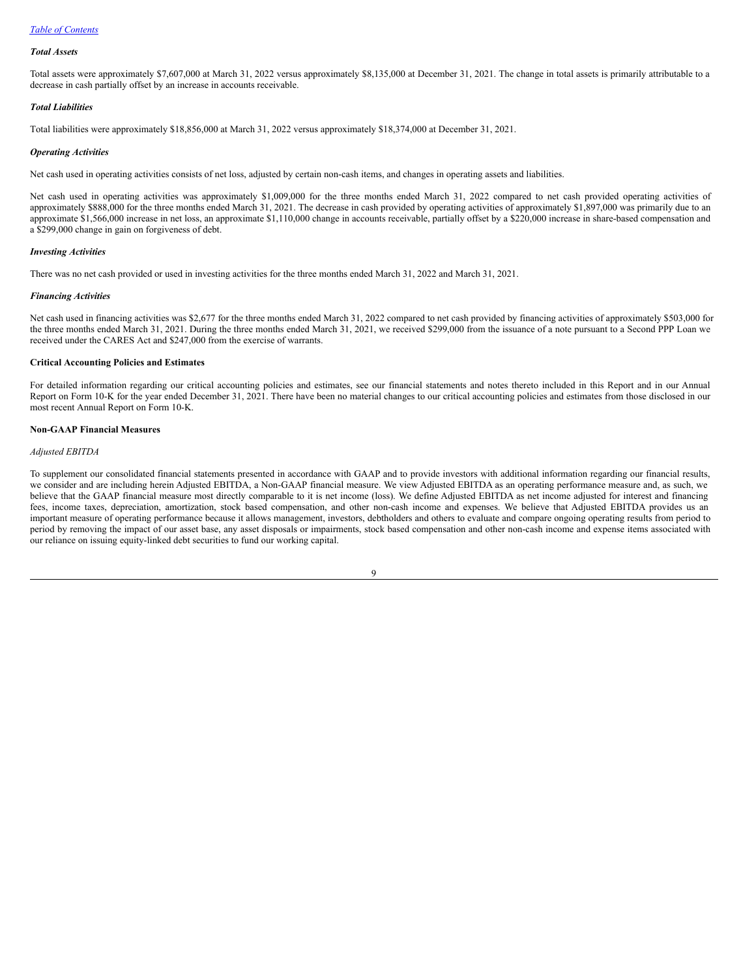### *Total Assets*

Total assets were approximately \$7,607,000 at March 31, 2022 versus approximately \$8,135,000 at December 31, 2021. The change in total assets is primarily attributable to a decrease in cash partially offset by an increase in accounts receivable.

### *Total Liabilities*

Total liabilities were approximately \$18,856,000 at March 31, 2022 versus approximately \$18,374,000 at December 31, 2021.

#### *Operating Activities*

Net cash used in operating activities consists of net loss, adjusted by certain non-cash items, and changes in operating assets and liabilities.

Net cash used in operating activities was approximately \$1,009,000 for the three months ended March 31, 2022 compared to net cash provided operating activities of approximately \$888,000 for the three months ended March 31, 2021. The decrease in cash provided by operating activities of approximately \$1,897,000 was primarily due to an approximate \$1,566,000 increase in net loss, an approximate \$1,110,000 change in accounts receivable, partially offset by a \$220,000 increase in share-based compensation and a \$299,000 change in gain on forgiveness of debt.

### *Investing Activities*

There was no net cash provided or used in investing activities for the three months ended March 31, 2022 and March 31, 2021.

### *Financing Activities*

Net cash used in financing activities was \$2,677 for the three months ended March 31, 2022 compared to net cash provided by financing activities of approximately \$503,000 for the three months ended March 31, 2021. During the three months ended March 31, 2021, we received \$299,000 from the issuance of a note pursuant to a Second PPP Loan we received under the CARES Act and \$247,000 from the exercise of warrants.

#### **Critical Accounting Policies and Estimates**

For detailed information regarding our critical accounting policies and estimates, see our financial statements and notes thereto included in this Report and in our Annual Report on Form 10-K for the year ended December 31, 2021. There have been no material changes to our critical accounting policies and estimates from those disclosed in our most recent Annual Report on Form 10-K.

### **Non-GAAP Financial Measures**

#### *Adjusted EBITDA*

To supplement our consolidated financial statements presented in accordance with GAAP and to provide investors with additional information regarding our financial results, we consider and are including herein Adjusted EBITDA, a Non-GAAP financial measure. We view Adjusted EBITDA as an operating performance measure and, as such, we believe that the GAAP financial measure most directly comparable to it is net income (loss). We define Adjusted EBITDA as net income adjusted for interest and financing fees, income taxes, depreciation, amortization, stock based compensation, and other non-cash income and expenses. We believe that Adjusted EBITDA provides us an important measure of operating performance because it allows management, investors, debtholders and others to evaluate and compare ongoing operating results from period to period by removing the impact of our asset base, any asset disposals or impairments, stock based compensation and other non-cash income and expense items associated with our reliance on issuing equity-linked debt securities to fund our working capital.

| ٧            |
|--------------|
| I<br>I       |
| ł<br>۰.<br>v |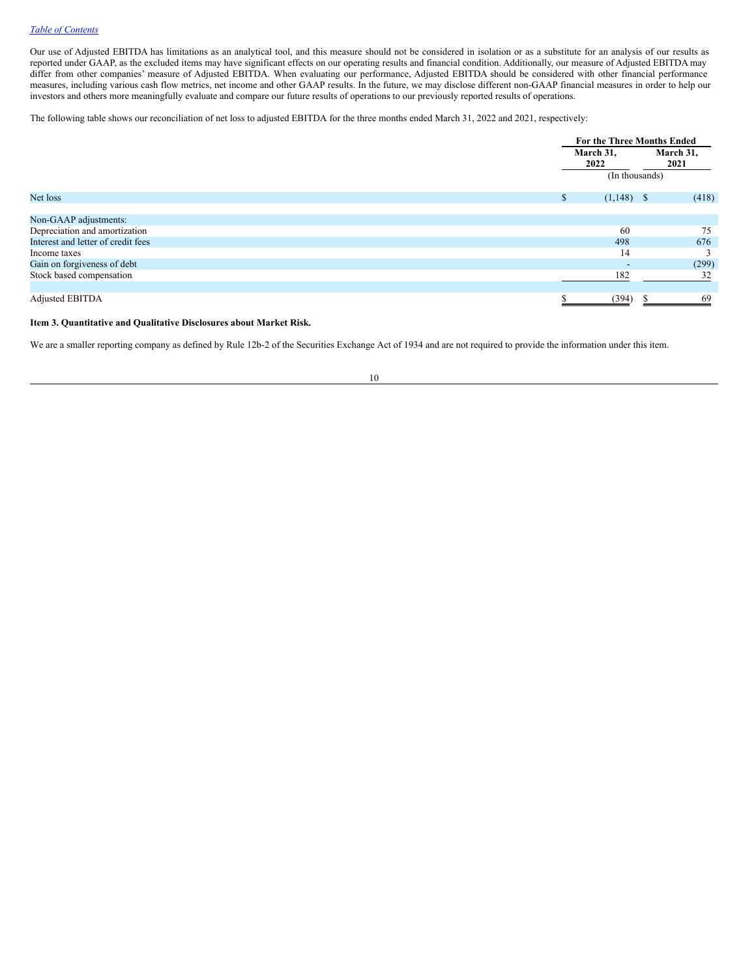### *Table of [Contents](#page-1-0)*

Our use of Adjusted EBITDA has limitations as an analytical tool, and this measure should not be considered in isolation or as a substitute for an analysis of our results as reported under GAAP, as the excluded items may have significant effects on our operating results and financial condition. Additionally, our measure of Adjusted EBITDA may differ from other companies' measure of Adjusted EBITDA. When evaluating our performance, Adjusted EBITDA should be considered with other financial performance measures, including various cash flow metrics, net income and other GAAP results. In the future, we may disclose different non-GAAP financial measures in order to help our investors and others more meaningfully evaluate and compare our future results of operations to our previously reported results of operations.

The following table shows our reconciliation of net loss to adjusted EBITDA for the three months ended March 31, 2022 and 2021, respectively:

|                                    |                    | <b>For the Three Months Ended</b> |  |
|------------------------------------|--------------------|-----------------------------------|--|
|                                    | March 31,<br>2022  | March 31,<br>2021                 |  |
|                                    |                    | (In thousands)                    |  |
| Net loss                           | $(1,148)$ \$<br>\$ | (418)                             |  |
| Non-GAAP adjustments:              |                    |                                   |  |
| Depreciation and amortization      | 60                 | 75                                |  |
| Interest and letter of credit fees | 498                | 676                               |  |
| Income taxes                       | 14                 |                                   |  |
| Gain on forgiveness of debt        |                    | (299)                             |  |
| Stock based compensation           | 182                | 32                                |  |
| Adjusted EBITDA                    | (394)<br>\$.       | 69                                |  |

### <span id="page-32-0"></span>**Item 3. Quantitative and Qualitative Disclosures about Market Risk.**

We are a smaller reporting company as defined by Rule 12b-2 of the Securities Exchange Act of 1934 and are not required to provide the information under this item.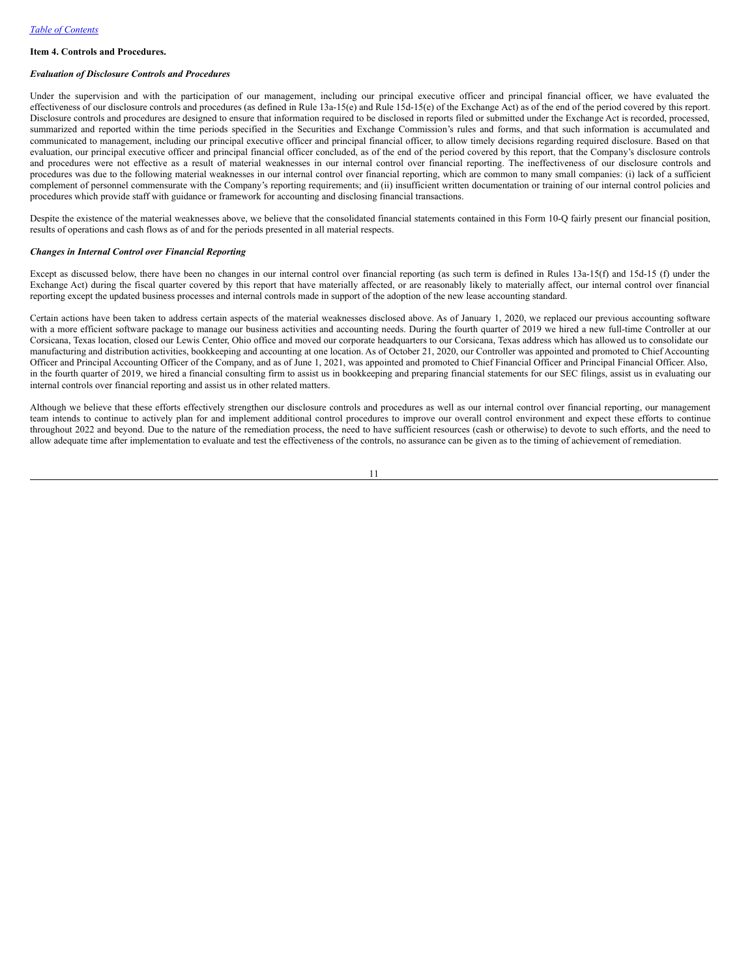### <span id="page-33-0"></span>**Item 4. Controls and Procedures.**

### *Evaluation of Disclosure Controls and Procedures*

Under the supervision and with the participation of our management, including our principal executive officer and principal financial officer, we have evaluated the effectiveness of our disclosure controls and procedures (as defined in Rule 13a-15(e) and Rule 15d-15(e) of the Exchange Act) as of the end of the period covered by this report. Disclosure controls and procedures are designed to ensure that information required to be disclosed in reports filed or submitted under the Exchange Act is recorded, processed, summarized and reported within the time periods specified in the Securities and Exchange Commission's rules and forms, and that such information is accumulated and communicated to management, including our principal executive officer and principal financial officer, to allow timely decisions regarding required disclosure. Based on that evaluation, our principal executive officer and principal financial officer concluded, as of the end of the period covered by this report, that the Company's disclosure controls and procedures were not effective as a result of material weaknesses in our internal control over financial reporting. The ineffectiveness of our disclosure controls and procedures was due to the following material weaknesses in our internal control over financial reporting, which are common to many small companies: (i) lack of a sufficient complement of personnel commensurate with the Company's reporting requirements; and (ii) insufficient written documentation or training of our internal control policies and procedures which provide staff with guidance or framework for accounting and disclosing financial transactions.

Despite the existence of the material weaknesses above, we believe that the consolidated financial statements contained in this Form 10-Q fairly present our financial position, results of operations and cash flows as of and for the periods presented in all material respects.

# *Changes in Internal Control over Financial Reporting*

Except as discussed below, there have been no changes in our internal control over financial reporting (as such term is defined in Rules 13a-15(f) and 15d-15 (f) under the Exchange Act) during the fiscal quarter covered by this report that have materially affected, or are reasonably likely to materially affect, our internal control over financial reporting except the updated business processes and internal controls made in support of the adoption of the new lease accounting standard.

Certain actions have been taken to address certain aspects of the material weaknesses disclosed above. As of January 1, 2020, we replaced our previous accounting software with a more efficient software package to manage our business activities and accounting needs. During the fourth quarter of 2019 we hired a new full-time Controller at our Corsicana, Texas location, closed our Lewis Center, Ohio office and moved our corporate headquarters to our Corsicana, Texas address which has allowed us to consolidate our manufacturing and distribution activities, bookkeeping and accounting at one location. As of October 21, 2020, our Controller was appointed and promoted to Chief Accounting Officer and Principal Accounting Officer of the Company, and as of June 1, 2021, was appointed and promoted to Chief Financial Officer and Principal Financial Officer. Also, in the fourth quarter of 2019, we hired a financial consulting firm to assist us in bookkeeping and preparing financial statements for our SEC filings, assist us in evaluating our internal controls over financial reporting and assist us in other related matters.

Although we believe that these efforts effectively strengthen our disclosure controls and procedures as well as our internal control over financial reporting, our management team intends to continue to actively plan for and implement additional control procedures to improve our overall control environment and expect these efforts to continue throughout 2022 and beyond. Due to the nature of the remediation process, the need to have sufficient resources (cash or otherwise) to devote to such efforts, and the need to allow adequate time after implementation to evaluate and test the effectiveness of the controls, no assurance can be given as to the timing of achievement of remediation.

11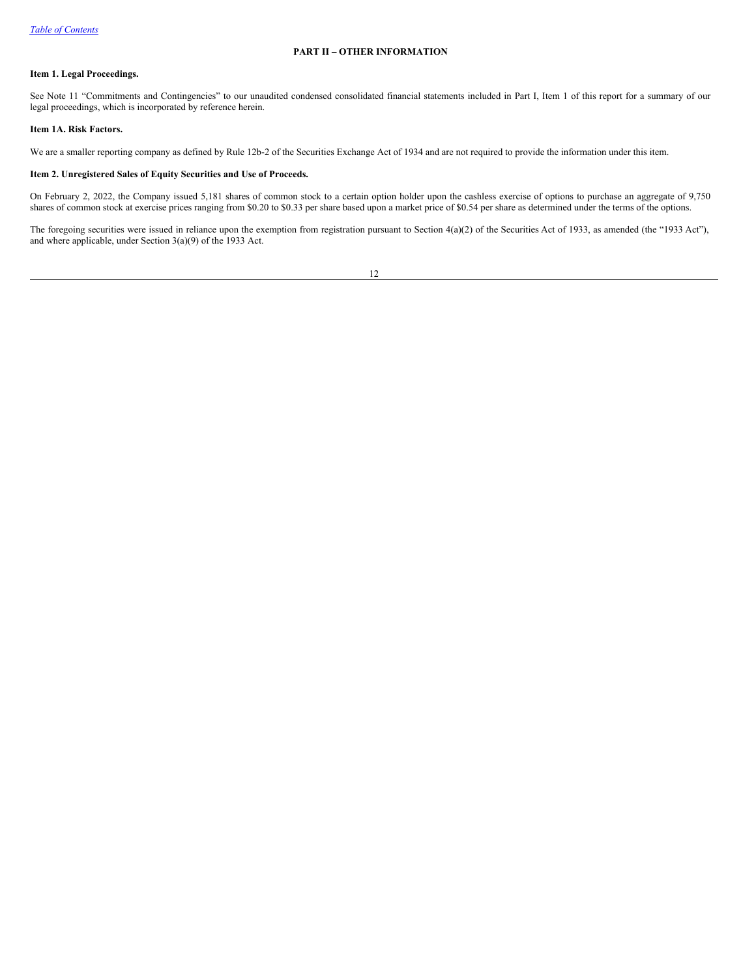### <span id="page-34-1"></span>**Item 1. Legal Proceedings.**

See Note 11 "Commitments and Contingencies" to our unaudited condensed consolidated financial statements included in Part I, Item 1 of this report for a summary of our legal proceedings, which is incorporated by reference herein.

### <span id="page-34-2"></span>**Item 1A. Risk Factors.**

We are a smaller reporting company as defined by Rule 12b-2 of the Securities Exchange Act of 1934 and are not required to provide the information under this item.

### <span id="page-34-3"></span>**Item 2. Unregistered Sales of Equity Securities and Use of Proceeds.**

On February 2, 2022, the Company issued 5,181 shares of common stock to a certain option holder upon the cashless exercise of options to purchase an aggregate of 9,750 shares of common stock at exercise prices ranging from \$0.20 to \$0.33 per share based upon a market price of \$0.54 per share as determined under the terms of the options.

The foregoing securities were issued in reliance upon the exemption from registration pursuant to Section 4(a)(2) of the Securities Act of 1933, as amended (the "1933 Act"), and where applicable, under Section 3(a)(9) of the 1933 Act.

<span id="page-34-0"></span>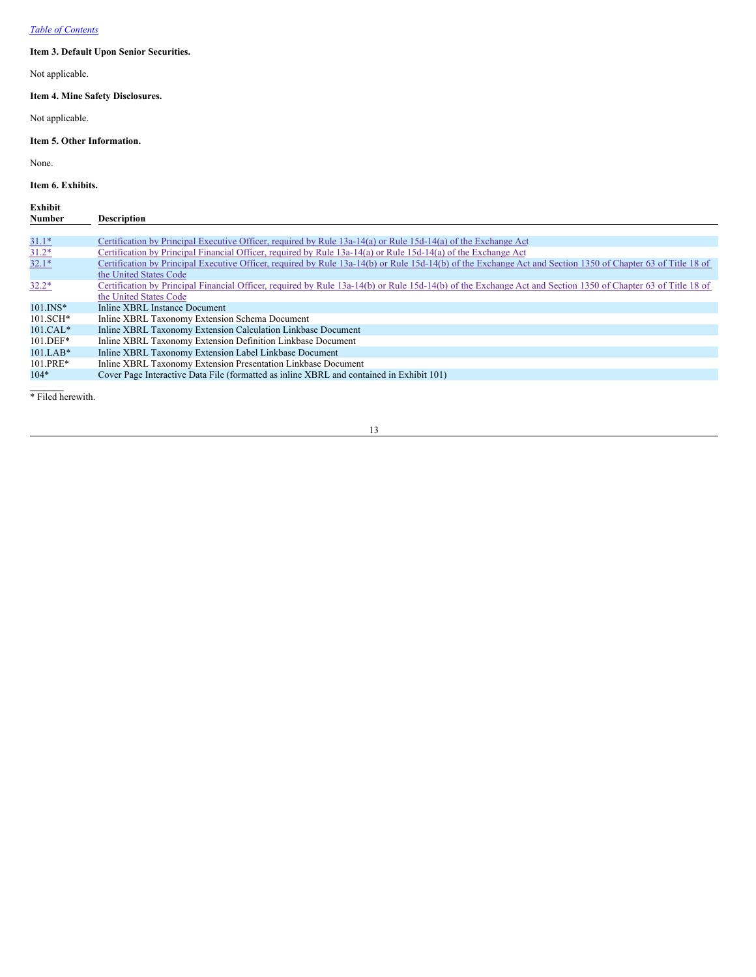# <span id="page-35-0"></span>**Item 3. Default Upon Senior Securities.**

Not applicable.

# <span id="page-35-1"></span>**Item 4. Mine Safety Disclosures.**

Not applicable.

# <span id="page-35-2"></span>**Item 5. Other Information.**

None.

# <span id="page-35-3"></span>**Item 6. Exhibits.**

| Exhibit<br>Number | <b>Description</b>                                                                                                                                           |  |
|-------------------|--------------------------------------------------------------------------------------------------------------------------------------------------------------|--|
|                   |                                                                                                                                                              |  |
| $31.1*$           | Certification by Principal Executive Officer, required by Rule 13a-14(a) or Rule 15d-14(a) of the Exchange Act                                               |  |
| $31.2*$           | Certification by Principal Financial Officer, required by Rule 13a-14(a) or Rule 15d-14(a) of the Exchange Act                                               |  |
| $32.1*$           | Certification by Principal Executive Officer, required by Rule 13a-14(b) or Rule 15d-14(b) of the Exchange Act and Section 1350 of Chapter 63 of Title 18 of |  |
|                   | the United States Code                                                                                                                                       |  |
| $32.2*$           | Certification by Principal Financial Officer, required by Rule 13a-14(b) or Rule 15d-14(b) of the Exchange Act and Section 1350 of Chapter 63 of Title 18 of |  |
|                   | the United States Code                                                                                                                                       |  |
| $101.$ INS*       | Inline XBRL Instance Document                                                                                                                                |  |
| $101.SCH*$        | Inline XBRL Taxonomy Extension Schema Document                                                                                                               |  |
| $101.CAL*$        | Inline XBRL Taxonomy Extension Calculation Linkbase Document                                                                                                 |  |
| $101.DEF*$        | Inline XBRL Taxonomy Extension Definition Linkbase Document                                                                                                  |  |
| $101.LAB*$        | Inline XBRL Taxonomy Extension Label Linkbase Document                                                                                                       |  |
| 101.PRE*          | Inline XBRL Taxonomy Extension Presentation Linkbase Document                                                                                                |  |
| $104*$            | Cover Page Interactive Data File (formatted as inline XBRL and contained in Exhibit 101)                                                                     |  |
|                   |                                                                                                                                                              |  |

\* Filed herewith.

# 13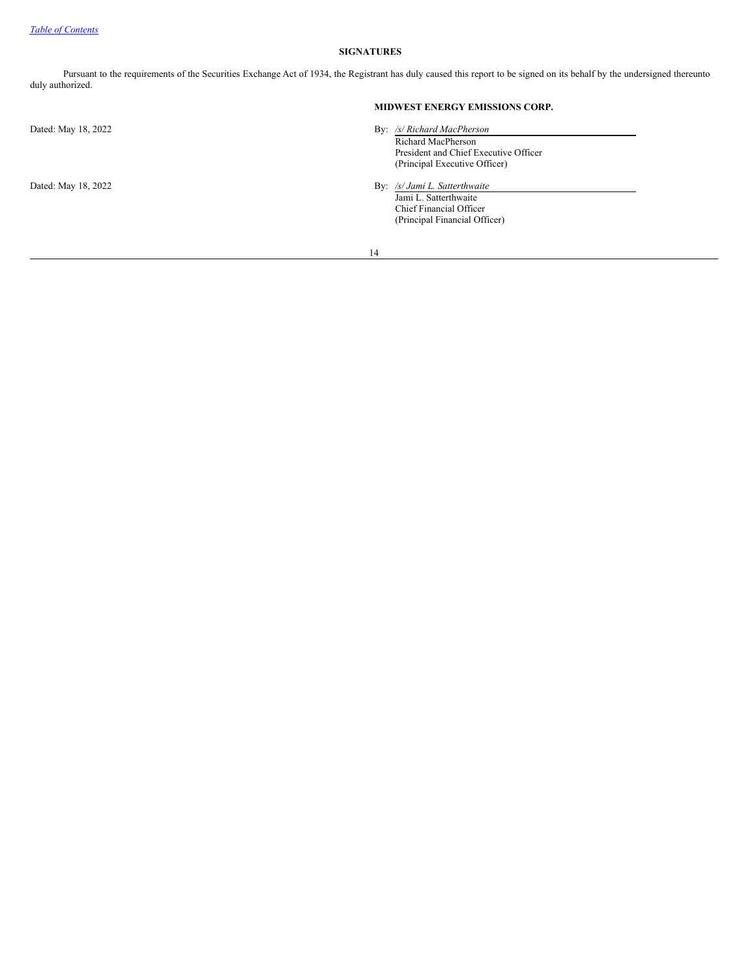### <span id="page-36-0"></span>**SIGNATURES**

Pursuant to the requirements of the Securities Exchange Act of 1934, the Registrant has duly caused this report to be signed on its behalf by the undersigned thereunto duly authorized.

|                     | <b>MIDWEST ENERGY EMISSIONS CORP.</b>                                                                                      |
|---------------------|----------------------------------------------------------------------------------------------------------------------------|
| Dated: May 18, 2022 | By: /s/ Richard MacPherson<br>Richard MacPherson<br>President and Chief Executive Officer<br>(Principal Executive Officer) |
| Dated: May 18, 2022 | By: /s/ Jami L. Satterthwaite<br>Jami L. Satterthwaite<br>Chief Financial Officer<br>(Principal Financial Officer)         |
|                     | 14                                                                                                                         |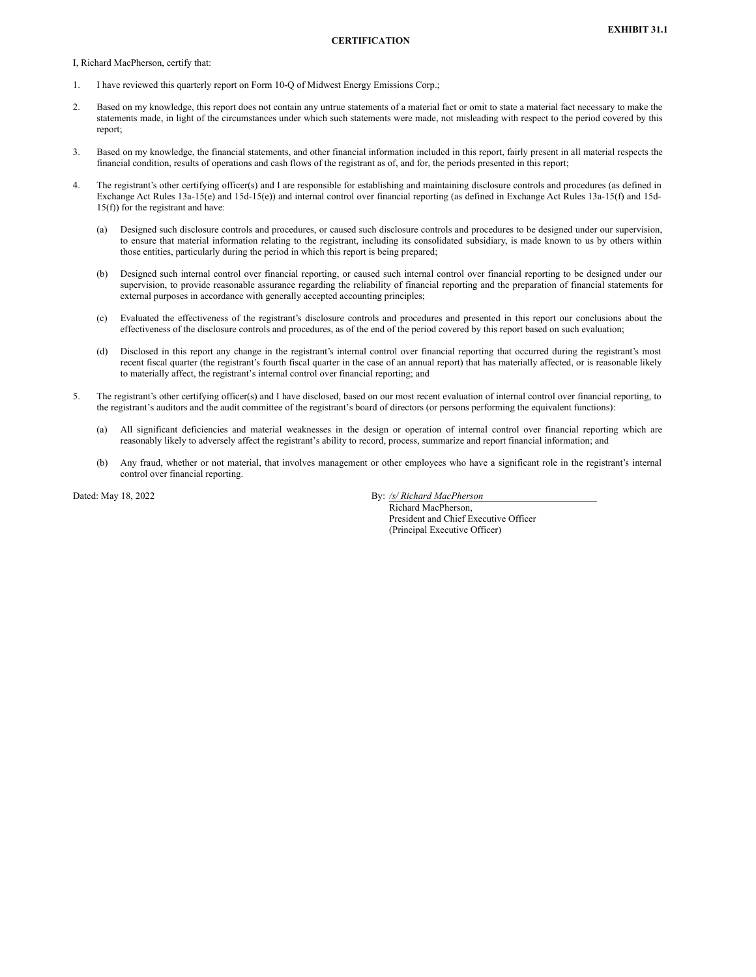#### **CERTIFICATION**

<span id="page-37-0"></span>I, Richard MacPherson, certify that:

- 1. I have reviewed this quarterly report on Form 10-Q of Midwest Energy Emissions Corp.;
- 2. Based on my knowledge, this report does not contain any untrue statements of a material fact or omit to state a material fact necessary to make the statements made, in light of the circumstances under which such statements were made, not misleading with respect to the period covered by this report;
- 3. Based on my knowledge, the financial statements, and other financial information included in this report, fairly present in all material respects the financial condition, results of operations and cash flows of the registrant as of, and for, the periods presented in this report;
- 4. The registrant's other certifying officer(s) and I are responsible for establishing and maintaining disclosure controls and procedures (as defined in Exchange Act Rules 13a-15(e) and 15d-15(e)) and internal control over financial reporting (as defined in Exchange Act Rules 13a-15(f) and 15d-15(f)) for the registrant and have:
	- (a) Designed such disclosure controls and procedures, or caused such disclosure controls and procedures to be designed under our supervision, to ensure that material information relating to the registrant, including its consolidated subsidiary, is made known to us by others within those entities, particularly during the period in which this report is being prepared;
	- (b) Designed such internal control over financial reporting, or caused such internal control over financial reporting to be designed under our supervision, to provide reasonable assurance regarding the reliability of financial reporting and the preparation of financial statements for external purposes in accordance with generally accepted accounting principles;
	- (c) Evaluated the effectiveness of the registrant's disclosure controls and procedures and presented in this report our conclusions about the effectiveness of the disclosure controls and procedures, as of the end of the period covered by this report based on such evaluation;
	- (d) Disclosed in this report any change in the registrant's internal control over financial reporting that occurred during the registrant's most recent fiscal quarter (the registrant's fourth fiscal quarter in the case of an annual report) that has materially affected, or is reasonable likely to materially affect, the registrant's internal control over financial reporting; and
- 5. The registrant's other certifying officer(s) and I have disclosed, based on our most recent evaluation of internal control over financial reporting, to the registrant's auditors and the audit committee of the registrant's board of directors (or persons performing the equivalent functions):
	- (a) All significant deficiencies and material weaknesses in the design or operation of internal control over financial reporting which are reasonably likely to adversely affect the registrant's ability to record, process, summarize and report financial information; and
	- (b) Any fraud, whether or not material, that involves management or other employees who have a significant role in the registrant's internal control over financial reporting.

Dated: May 18, 2022 By: */s/ Richard MacPherson*

Richard MacPherson, President and Chief Executive Officer (Principal Executive Officer)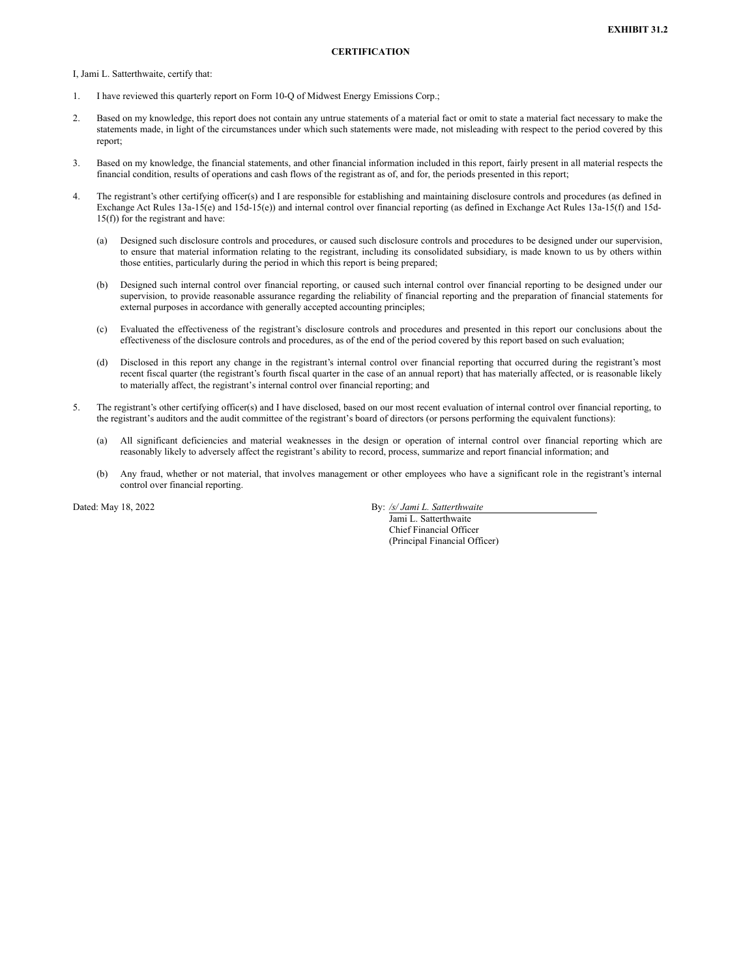<span id="page-38-0"></span>I, Jami L. Satterthwaite, certify that:

- 1. I have reviewed this quarterly report on Form 10-Q of Midwest Energy Emissions Corp.;
- 2. Based on my knowledge, this report does not contain any untrue statements of a material fact or omit to state a material fact necessary to make the statements made, in light of the circumstances under which such statements were made, not misleading with respect to the period covered by this report;
- 3. Based on my knowledge, the financial statements, and other financial information included in this report, fairly present in all material respects the financial condition, results of operations and cash flows of the registrant as of, and for, the periods presented in this report;
- 4. The registrant's other certifying officer(s) and I are responsible for establishing and maintaining disclosure controls and procedures (as defined in Exchange Act Rules 13a-15(e) and 15d-15(e)) and internal control over financial reporting (as defined in Exchange Act Rules 13a-15(f) and 15d-15(f)) for the registrant and have:
	- (a) Designed such disclosure controls and procedures, or caused such disclosure controls and procedures to be designed under our supervision, to ensure that material information relating to the registrant, including its consolidated subsidiary, is made known to us by others within those entities, particularly during the period in which this report is being prepared;
	- (b) Designed such internal control over financial reporting, or caused such internal control over financial reporting to be designed under our supervision, to provide reasonable assurance regarding the reliability of financial reporting and the preparation of financial statements for external purposes in accordance with generally accepted accounting principles;
	- (c) Evaluated the effectiveness of the registrant's disclosure controls and procedures and presented in this report our conclusions about the effectiveness of the disclosure controls and procedures, as of the end of the period covered by this report based on such evaluation;
	- (d) Disclosed in this report any change in the registrant's internal control over financial reporting that occurred during the registrant's most recent fiscal quarter (the registrant's fourth fiscal quarter in the case of an annual report) that has materially affected, or is reasonable likely to materially affect, the registrant's internal control over financial reporting; and
- 5. The registrant's other certifying officer(s) and I have disclosed, based on our most recent evaluation of internal control over financial reporting, to the registrant's auditors and the audit committee of the registrant's board of directors (or persons performing the equivalent functions):
	- (a) All significant deficiencies and material weaknesses in the design or operation of internal control over financial reporting which are reasonably likely to adversely affect the registrant's ability to record, process, summarize and report financial information; and
	- (b) Any fraud, whether or not material, that involves management or other employees who have a significant role in the registrant's internal control over financial reporting.

Dated: May 18, 2022 By: */s/ Jami L. Satterthwaite*

Jami L. Satterthwaite Chief Financial Officer (Principal Financial Officer)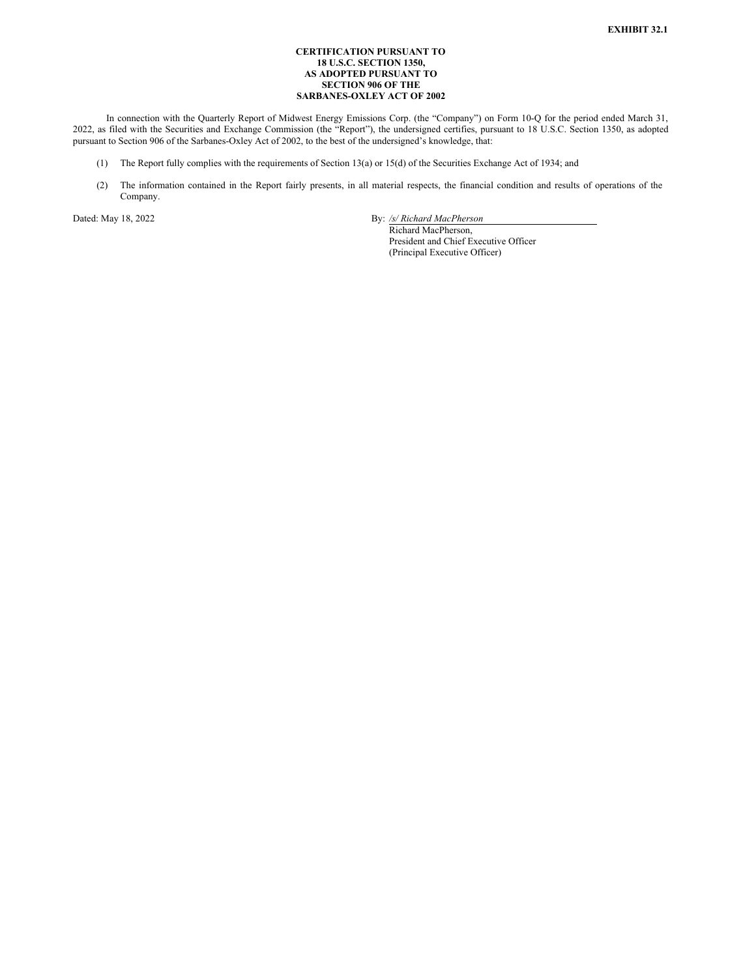### **CERTIFICATION PURSUANT TO 18 U.S.C. SECTION 1350, AS ADOPTED PURSUANT TO SECTION 906 OF THE SARBANES-OXLEY ACT OF 2002**

<span id="page-39-0"></span>In connection with the Quarterly Report of Midwest Energy Emissions Corp. (the "Company") on Form 10-Q for the period ended March 31, 2022, as filed with the Securities and Exchange Commission (the "Report"), the undersigned certifies, pursuant to 18 U.S.C. Section 1350, as adopted pursuant to Section 906 of the Sarbanes-Oxley Act of 2002, to the best of the undersigned's knowledge, that:

- (1) The Report fully complies with the requirements of Section 13(a) or 15(d) of the Securities Exchange Act of 1934; and
- (2) The information contained in the Report fairly presents, in all material respects, the financial condition and results of operations of the Company.

Dated: May 18, 2022 By: */s/ Richard MacPherson*

Richard MacPherson, President and Chief Executive Officer (Principal Executive Officer)